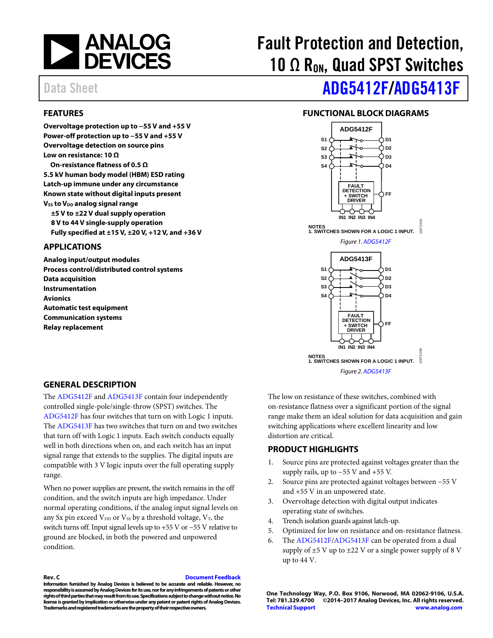

#### <span id="page-0-0"></span>**FEATURES**

**Overvoltage protection up to −55 V and +55 V Power-off protection up to −55 V and +55 V Overvoltage detection on source pins Low on resistance: 10 Ω On-resistance flatness of 0.5 Ω 5.5 kV human body model (HBM) ESD rating Latch-up immune under any circumstance Known state without digital inputs present Vss to V<sub>DD</sub> analog signal range ±5 V to ±22 V dual supply operation 8 V to 44 V single-supply operation Fully specified at ±15 V, ±20 V, +12 V, and +36 V** 

#### <span id="page-0-1"></span>**APPLICATIONS**

**Analog input/output modules Process control/distributed control systems Data acquisition Instrumentation Avionics Automatic test equipment Communication systems Relay replacement**

# Fault Protection and Detection, 10  $\Omega$  R<sub>ON</sub>, Quad SPST Switches

# Data Sheet **[ADG5412F](http://www.analog.com/ADG5412F?doc=ADG5412F_5413F.pdf)[/ADG5413F](http://www.analog.com/ADG5413F?doc=ADG5412F_5413F.pdf)**

#### **FUNCTIONAL BLOCK DIAGRAMS**

<span id="page-0-2"></span>

<span id="page-0-3"></span>**GENERAL DESCRIPTION**

The [ADG5412F](http://www.analog.com/ADG5412F?doc=ADG5412F_5413F.pdf) an[d ADG5413F](http://www.analog.com/ADG5413F?doc=ADG5412F_5413F.pdf) contain four independently controlled single-pole/single-throw (SPST) switches. The [ADG5412F](http://www.analog.com/ADG5412F?doc=ADG5412F_5413F.pdf) has four switches that turn on with Logic 1 inputs. The [ADG5413F](http://www.analog.com/ADG5413F?doc=ADG5412F_5413F.pdf) has two switches that turn on and two switches that turn off with Logic 1 inputs. Each switch conducts equally well in both directions when on, and each switch has an input signal range that extends to the supplies. The digital inputs are compatible with 3 V logic inputs over the full operating supply range.

When no power supplies are present, the switch remains in the off condition, and the switch inputs are high impedance. Under normal operating conditions, if the analog input signal levels on any Sx pin exceed  $V_{DD}$  or  $V_{SS}$  by a threshold voltage,  $V_T$ , the switch turns off. Input signal levels up to +55 V or −55 V relative to ground are blocked, in both the powered and unpowered condition.

The low on resistance of these switches, combined with on-resistance flatness over a significant portion of the signal range make them an ideal solution for data acquisition and gain switching applications where excellent linearity and low distortion are critical.

#### <span id="page-0-4"></span>**PRODUCT HIGHLIGHTS**

- 1. Source pins are protected against voltages greater than the supply rails, up to  $-55$  V and  $+55$  V.
- 2. Source pins are protected against voltages between −55 V and +55 V in an unpowered state.
- 3. Overvoltage detection with digital output indicates operating state of switches.
- 4. Trench isolation guards against latch-up.
- 5. Optimized for low on resistance and on-resistance flatness.
- 6. The [ADG5412F/](http://www.analog.com/ADG5412F?doc=ADG5412F_5413F.pdf)[ADG5413F](http://www.analog.com/ADG5413F?doc=ADG5412F_5413F.pdf) can be operated from a dual supply of  $\pm$ 5 V up to  $\pm$ 22 V or a single power supply of 8 V up to 44 V.

**Rev. C [Document Feedback](https://form.analog.com/Form_Pages/feedback/documentfeedback.aspx?doc=ADG5412F_5413F.pdf&product=ADG5412F%20ADG5413F&rev=C) Information furnished by Analog Devices is believed to be accurate and reliable. However, no responsibility is assumed by Analog Devices for its use, nor for any infringements of patents or other rights of third parties that may result from its use. Specifications subject to change without notice. No license is granted by implication or otherwise under any patent or patent rights of Analog Devices.** 

**Trademarks and registered trademarks are the property of their respective owners.**

**One Technology Way, P.O. Box 9106, Norwood, MA 02062-9106, U.S.A. Tel: 781.329.4700 ©2014–2017 Analog Devices, Inc. All rights reserved. [Technical Support](http://www.analog.com/en/content/technical_support_page/fca.html) [www.analog.com](http://www.analog.com/)**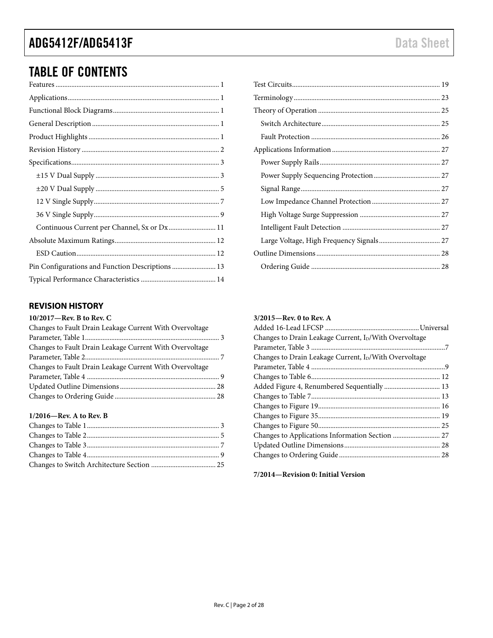# TABLE OF CONTENTS

| Continuous Current per Channel, Sx or Dx 11      |  |
|--------------------------------------------------|--|
|                                                  |  |
|                                                  |  |
| Pin Configurations and Function Descriptions  13 |  |
|                                                  |  |

#### <span id="page-1-0"></span>**REVISION HISTORY**

#### **10/2017—Rev. B to Rev. C**

| Changes to Fault Drain Leakage Current With Overvoltage |  |
|---------------------------------------------------------|--|
|                                                         |  |
| Changes to Fault Drain Leakage Current With Overvoltage |  |
|                                                         |  |
| Changes to Fault Drain Leakage Current With Overvoltage |  |
|                                                         |  |
|                                                         |  |
|                                                         |  |

#### **1/2016—Rev. A to Rev. B**

#### **3/2015—Rev. 0 to Rev. A**

| Changes to Drain Leakage Current, I <sub>D</sub> /With Overvoltage |  |
|--------------------------------------------------------------------|--|
|                                                                    |  |
| Changes to Drain Leakage Current, ID/With Overvoltage              |  |
|                                                                    |  |
|                                                                    |  |
| Added Figure 4, Renumbered Sequentially  13                        |  |
|                                                                    |  |
|                                                                    |  |
|                                                                    |  |
|                                                                    |  |
|                                                                    |  |
|                                                                    |  |
|                                                                    |  |
|                                                                    |  |

**7/2014—Revision 0: Initial Version**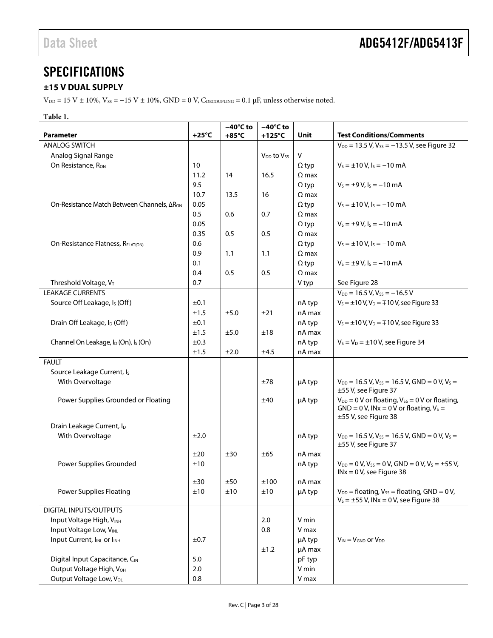# <span id="page-2-0"></span>**SPECIFICATIONS**

### <span id="page-2-1"></span>**±15 V DUAL SUPPLY**

V<sub>DD</sub> = 15 V ± 10%, V<sub>SS</sub> = −15 V ± 10%, GND = 0 V, C<sub>DECOUPLING</sub> = 0.1 µF, unless otherwise noted.

#### **Table 1.**

|                                                              |                 | $-40^{\circ}$ C to | $-40^{\circ}$ C to                 |              |                                                                                                                                 |
|--------------------------------------------------------------|-----------------|--------------------|------------------------------------|--------------|---------------------------------------------------------------------------------------------------------------------------------|
| <b>Parameter</b>                                             | $+25^{\circ}$ C | $+85^{\circ}$ C    | $+125^{\circ}$ C                   | <b>Unit</b>  | <b>Test Conditions/Comments</b>                                                                                                 |
| <b>ANALOG SWITCH</b>                                         |                 |                    |                                    |              | $V_{DD}$ = 13.5 V, V <sub>ss</sub> = $-13.5$ V, see Figure 32                                                                   |
| Analog Signal Range                                          |                 |                    | V <sub>DD</sub> to V <sub>ss</sub> | V            |                                                                                                                                 |
| On Resistance, Ron                                           | 10              |                    |                                    | $\Omega$ typ | $V_s = \pm 10 V$ , $I_s = -10 mA$                                                                                               |
|                                                              | 11.2            | 14                 | 16.5                               | $\Omega$ max |                                                                                                                                 |
|                                                              | 9.5             |                    |                                    | $\Omega$ typ | $V_s = \pm 9 V$ , $I_s = -10$ mA                                                                                                |
|                                                              | 10.7            | 13.5               | 16                                 | $\Omega$ max |                                                                                                                                 |
| On-Resistance Match Between Channels, ΔR <sub>ON</sub>       | 0.05            |                    |                                    | $\Omega$ typ | $V_s = \pm 10 V$ , $I_s = -10$ mA                                                                                               |
|                                                              | 0.5             | 0.6                | 0.7                                | $\Omega$ max |                                                                                                                                 |
|                                                              | 0.05            |                    |                                    | $\Omega$ typ | $V_s = \pm 9 V$ , $I_s = -10$ mA                                                                                                |
|                                                              | 0.35            | 0.5                | 0.5                                | $\Omega$ max |                                                                                                                                 |
| On-Resistance Flatness, RFLAT(ON)                            | 0.6             |                    |                                    | $\Omega$ typ | $V_s = \pm 10 V$ , $I_s = -10$ mA                                                                                               |
|                                                              | 0.9             | 1.1                | 1.1                                | $\Omega$ max |                                                                                                                                 |
|                                                              | 0.1             |                    |                                    | $\Omega$ typ | $V_s = \pm 9$ V, $I_s = -10$ mA                                                                                                 |
|                                                              | 0.4             | 0.5                | 0.5                                | $\Omega$ max |                                                                                                                                 |
| Threshold Voltage, VT                                        | 0.7             |                    |                                    | V typ        | See Figure 28                                                                                                                   |
| <b>LEAKAGE CURRENTS</b>                                      |                 |                    |                                    |              | $V_{DD} = 16.5 V, V_{SS} = -16.5 V$                                                                                             |
| Source Off Leakage, Is (Off)                                 | ±0.1            |                    |                                    | nA typ       | $V_s = \pm 10 V$ , $V_D = \mp 10 V$ , see Figure 33                                                                             |
|                                                              | ±1.5            | ±5.0               | ±21                                | nA max       |                                                                                                                                 |
| Drain Off Leakage, I <sub>D</sub> (Off)                      | ±0.1            |                    |                                    | nA typ       | $V_s = \pm 10 V$ , $V_D = \mp 10 V$ , see Figure 33                                                                             |
|                                                              | ±1.5            | ±5.0               | ±18                                | nA max       |                                                                                                                                 |
| Channel On Leakage, I <sub>D</sub> (On), I <sub>S</sub> (On) | ±0.3            |                    |                                    | nA typ       | $V_s = V_D = \pm 10$ V, see Figure 34                                                                                           |
|                                                              | ±1.5            | ±2.0               | ±4.5                               | nA max       |                                                                                                                                 |
| <b>FAULT</b>                                                 |                 |                    |                                    |              |                                                                                                                                 |
| Source Leakage Current, Is                                   |                 |                    |                                    |              |                                                                                                                                 |
| With Overvoltage                                             |                 |                    | ±78                                | µA typ       | $V_{DD}$ = 16.5 V, V <sub>ss</sub> = 16.5 V, GND = 0 V, V <sub>s</sub> =<br>±55 V, see Figure 37                                |
| Power Supplies Grounded or Floating                          |                 |                    | ±40                                | µA typ       | $V_{DD} = 0$ V or floating, $V_{SS} = 0$ V or floating,<br>$GND = 0 V$ , INx = 0 V or floating, $V_S =$<br>±55 V, see Figure 38 |
| Drain Leakage Current, ID                                    |                 |                    |                                    |              |                                                                                                                                 |
| With Overvoltage                                             | ±2.0            |                    |                                    | nA typ       | $V_{DD}$ = 16.5 V, V <sub>SS</sub> = 16.5 V, GND = 0 V, V <sub>S</sub> =                                                        |
|                                                              |                 |                    |                                    |              | ±55 V, see Figure 37                                                                                                            |
|                                                              | ±20             | ±30                | ±65                                | nA max       |                                                                                                                                 |
| Power Supplies Grounded                                      | ±10             |                    |                                    | nA typ       | $V_{DD} = 0 V$ , $V_{SS} = 0 V$ , GND = 0 V, $V_S = \pm 55 V$ ,<br>$INx = 0 V$ , see Figure 38                                  |
|                                                              | ±30             | ±50                | ±100                               | nA max       |                                                                                                                                 |
| <b>Power Supplies Floating</b>                               | ±10             | ±10                | ±10                                | µA typ       | $V_{DD}$ = floating, $V_{SS}$ = floating, GND = 0 V,<br>$V_s = \pm 55$ V, INx = 0 V, see Figure 38                              |
| DIGITAL INPUTS/OUTPUTS                                       |                 |                    |                                    |              |                                                                                                                                 |
| Input Voltage High, VINH                                     |                 |                    | 2.0                                | V min        |                                                                                                                                 |
| Input Voltage Low, VINL                                      |                 |                    | 0.8                                | V max        |                                                                                                                                 |
| Input Current, I <sub>INL</sub> or I <sub>INH</sub>          | ±0.7            |                    |                                    | µA typ       | $V_{IN} = V_{GND}$ or $V_{DD}$                                                                                                  |
|                                                              |                 |                    | ±1.2                               | µA max       |                                                                                                                                 |
| Digital Input Capacitance, CIN                               | 5.0             |                    |                                    | pF typ       |                                                                                                                                 |
| Output Voltage High, V <sub>OH</sub>                         | 2.0             |                    |                                    | V min        |                                                                                                                                 |
| Output Voltage Low, Vol.                                     | 0.8             |                    |                                    | V max        |                                                                                                                                 |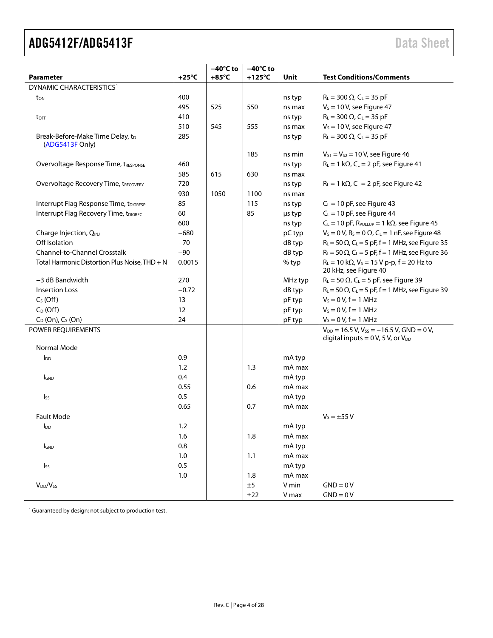| <b>Parameter</b>                                    | $+25^{\circ}$ C | $-40^{\circ}$ C to<br>$+85^{\circ}$ C | $-40^{\circ}$ C to<br>$+125^{\circ}$ C | <b>Unit</b> | <b>Test Conditions/Comments</b>                                                  |
|-----------------------------------------------------|-----------------|---------------------------------------|----------------------------------------|-------------|----------------------------------------------------------------------------------|
| DYNAMIC CHARACTERISTICS <sup>1</sup>                |                 |                                       |                                        |             |                                                                                  |
| ton                                                 | 400             |                                       |                                        | ns typ      | $R_L = 300 \Omega$ , $C_L = 35 pF$                                               |
|                                                     | 495             | 525                                   | 550                                    | ns max      | $V_s = 10 V$ , see Figure 47                                                     |
| toFF                                                | 410             |                                       |                                        | ns typ      | $R_{L} = 300 \Omega$ , C <sub>L</sub> = 35 pF                                    |
|                                                     | 510             | 545                                   | 555                                    | ns max      | $V_s = 10 V$ , see Figure 47                                                     |
| Break-Before-Make Time Delay, tD<br>(ADG5413F Only) | 285             |                                       |                                        | ns typ      | $R_L = 300 \Omega$ , $C_L = 35 pF$                                               |
|                                                     |                 |                                       | 185                                    | ns min      | $V_{S1} = V_{S2} = 10 V$ , see Figure 46                                         |
| Overvoltage Response Time, tRESPONSE                | 460             |                                       |                                        | ns typ      | $R_L = 1 k\Omega$ , C <sub>L</sub> = 2 pF, see Figure 41                         |
|                                                     | 585             | 615                                   | 630                                    | ns max      |                                                                                  |
| <b>Overvoltage Recovery Time, tRECOVERY</b>         | 720             |                                       |                                        | ns typ      | $R_L = 1 k\Omega$ , C <sub>L</sub> = 2 pF, see Figure 42                         |
|                                                     | 930             | 1050                                  | 1100                                   | ns max      |                                                                                  |
| Interrupt Flag Response Time, tDIGRESP              | 85              |                                       | 115                                    | ns typ      | $C_L$ = 10 pF, see Figure 43                                                     |
| Interrupt Flag Recovery Time, tDIGREC               | 60              |                                       | 85                                     | µs typ      | $C_L = 10$ pF, see Figure 44                                                     |
|                                                     | 600             |                                       |                                        | ns typ      | $C_L = 10$ pF, R <sub>PULLUP</sub> = 1 k $\Omega$ , see Figure 45                |
| Charge Injection, QINJ                              | $-680$          |                                       |                                        | pC typ      | $V_s = 0 V$ , R <sub>s</sub> = 0 $\Omega$ , C <sub>L</sub> = 1 nF, see Figure 48 |
| Off Isolation                                       | $-70$           |                                       |                                        | dB typ      | $R_{L}$ = 50 $\Omega$ , C <sub>L</sub> = 5 pF, f = 1 MHz, see Figure 35          |
| <b>Channel-to-Channel Crosstalk</b>                 | $-90$           |                                       |                                        | dB typ      | $R_L$ = 50 $\Omega$ , C <sub>L</sub> = 5 pF, f = 1 MHz, see Figure 36            |
| Total Harmonic Distortion Plus Noise, THD + N       | 0.0015          |                                       |                                        | % typ       | $R_L = 10 k\Omega$ , $V_S = 15 V p-p$ , $f = 20 Hz$ to<br>20 kHz, see Figure 40  |
| -3 dB Bandwidth                                     | 270             |                                       |                                        | MHz typ     | $R_L = 50 \Omega$ , C <sub>L</sub> = 5 pF, see Figure 39                         |
| <b>Insertion Loss</b>                               | $-0.72$         |                                       |                                        | dB typ      | $R_L$ = 50 $\Omega$ , C <sub>L</sub> = 5 pF, f = 1 MHz, see Figure 39            |
| $C_S$ (Off)                                         | 13              |                                       |                                        | pF typ      | $V_s = 0 V, f = 1 MHz$                                                           |
| $C_D$ (Off)                                         | 12              |                                       |                                        | pF typ      | $V_s = 0 V, f = 1 MHz$                                                           |
| $C_D$ (On), $C_S$ (On)                              | 24              |                                       |                                        | pF typ      | $V_s = 0 V, f = 1 MHz$                                                           |
| POWER REQUIREMENTS                                  |                 |                                       |                                        |             | $V_{DD} = 16.5 V$ , $V_{SS} = -16.5 V$ , GND = 0V,                               |
|                                                     |                 |                                       |                                        |             | digital inputs = $0 V$ , 5V, or $V_{DD}$                                         |
| Normal Mode                                         |                 |                                       |                                        |             |                                                                                  |
| <b>l</b> <sub>DD</sub>                              | 0.9             |                                       |                                        | mA typ      |                                                                                  |
|                                                     | 1.2             |                                       | 1.3                                    | mA max      |                                                                                  |
| <b>GND</b>                                          | 0.4             |                                       |                                        | mA typ      |                                                                                  |
|                                                     | 0.55            |                                       | 0.6                                    | mA max      |                                                                                  |
| I <sub>SS</sub>                                     | 0.5             |                                       |                                        | mA typ      |                                                                                  |
|                                                     | 0.65            |                                       | 0.7                                    | mA max      |                                                                                  |
| <b>Fault Mode</b>                                   |                 |                                       |                                        |             | $V_5 = \pm 55 V$                                                                 |
| $I_{DD}$                                            | $1.2\,$         |                                       |                                        | mA typ      |                                                                                  |
|                                                     | 1.6             |                                       | 1.8                                    | mA max      |                                                                                  |
| <b>IGND</b>                                         | 0.8             |                                       |                                        | mA typ      |                                                                                  |
|                                                     | $1.0\,$         |                                       | 1.1                                    | mA max      |                                                                                  |
| Iss                                                 | 0.5             |                                       |                                        | mA typ      |                                                                                  |
|                                                     | 1.0             |                                       | 1.8                                    | mA max      |                                                                                  |
| V <sub>DD</sub> /V <sub>ss</sub>                    |                 |                                       | $\pm 5$                                | V min       | $GND = 0V$                                                                       |
|                                                     |                 |                                       | ±22                                    | V max       | $GND = 0V$                                                                       |

<sup>1</sup> Guaranteed by design; not subject to production test.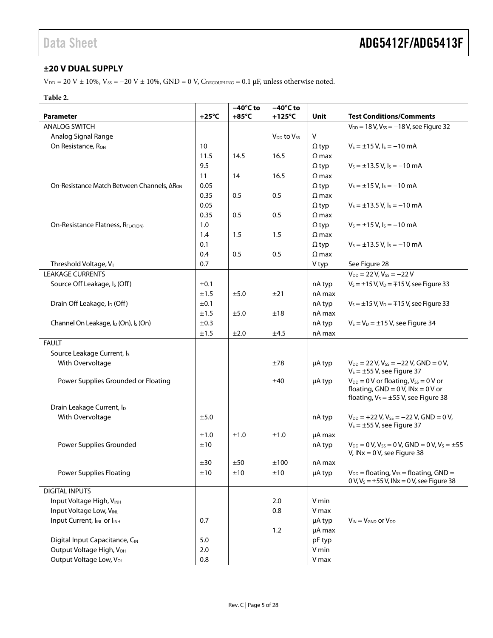### <span id="page-4-0"></span>**±20 V DUAL SUPPLY**

V<sub>DD</sub> = 20 V ± 10%, V<sub>SS</sub> = -20 V ± 10%, GND = 0 V, C<sub>DECOUPLING</sub> = 0.1 μF, unless otherwise noted.

#### **Table 2.**

|                                                              |                 | $-40^{\circ}$ C to | $-40^{\circ}$ C to                 |              |                                                                                                                                      |
|--------------------------------------------------------------|-----------------|--------------------|------------------------------------|--------------|--------------------------------------------------------------------------------------------------------------------------------------|
| <b>Parameter</b>                                             | +25°C           | $+85^{\circ}$ C    | $+125^{\circ}$ C                   | Unit         | <b>Test Conditions/Comments</b>                                                                                                      |
| <b>ANALOG SWITCH</b>                                         |                 |                    |                                    |              | $V_{DD} = 18 V, V_{SS} = -18 V$ , see Figure 32                                                                                      |
| Analog Signal Range                                          |                 |                    | V <sub>DD</sub> to V <sub>SS</sub> | V            |                                                                                                                                      |
| On Resistance, R <sub>ON</sub>                               | 10 <sup>°</sup> |                    |                                    | $\Omega$ typ | $V_s = \pm 15$ V, $I_s = -10$ mA                                                                                                     |
|                                                              | 11.5            | 14.5               | 16.5                               | $\Omega$ max |                                                                                                                                      |
|                                                              | 9.5             |                    |                                    | $\Omega$ typ | $V_s = \pm 13.5$ V, $I_s = -10$ mA                                                                                                   |
|                                                              | 11              | 14                 | 16.5                               | $\Omega$ max |                                                                                                                                      |
| On-Resistance Match Between Channels, ΔR <sub>ON</sub>       | 0.05            |                    |                                    | $\Omega$ typ | $V_s = \pm 15$ V, $I_s = -10$ mA                                                                                                     |
|                                                              | 0.35            | 0.5                | 0.5                                | $\Omega$ max |                                                                                                                                      |
|                                                              | 0.05            |                    |                                    | $\Omega$ typ | $V_s = \pm 13.5$ V, $I_s = -10$ mA                                                                                                   |
|                                                              | 0.35            | 0.5                | 0.5                                | $\Omega$ max |                                                                                                                                      |
| On-Resistance Flatness, RFLAT(ON)                            | 1.0             |                    |                                    | $\Omega$ typ | $V_s = \pm 15$ V, $I_s = -10$ mA                                                                                                     |
|                                                              | 1.4             | 1.5                | 1.5                                | $\Omega$ max |                                                                                                                                      |
|                                                              | 0.1             |                    |                                    | $\Omega$ typ | $V_s = \pm 13.5$ V, $I_s = -10$ mA                                                                                                   |
|                                                              | 0.4             | 0.5                | 0.5                                | $\Omega$ max |                                                                                                                                      |
| Threshold Voltage, V <sub>T</sub>                            | 0.7             |                    |                                    | V typ        | See Figure 28                                                                                                                        |
| <b>LEAKAGE CURRENTS</b>                                      |                 |                    |                                    |              | $V_{DD} = 22 V, V_{SS} = -22 V$                                                                                                      |
| Source Off Leakage, I <sub>s</sub> (Off)                     | ±0.1            |                    |                                    | nA typ       | $V_s = \pm 15 V, V_D = \mp 15 V$ , see Figure 33                                                                                     |
|                                                              | ±1.5            | ±5.0               | ±21                                | nA max       |                                                                                                                                      |
| Drain Off Leakage, I <sub>D</sub> (Off)                      | ±0.1            |                    |                                    | nA typ       | $V_s = \pm 15$ V, V <sub>D</sub> = $\mp 15$ V, see Figure 33                                                                         |
|                                                              | ±1.5            | ±5.0               | ±18                                | nA max       |                                                                                                                                      |
| Channel On Leakage, I <sub>D</sub> (On), I <sub>S</sub> (On) | ±0.3            |                    |                                    | nA typ       | $V_s = V_D = \pm 15$ V, see Figure 34                                                                                                |
|                                                              | ±1.5            | ±2.0               | ±4.5                               | nA max       |                                                                                                                                      |
| <b>FAULT</b>                                                 |                 |                    |                                    |              |                                                                                                                                      |
| Source Leakage Current, I <sub>s</sub>                       |                 |                    |                                    |              |                                                                                                                                      |
| With Overvoltage                                             |                 |                    | ±78                                | µA typ       | $V_{DD} = 22 V, V_{SS} = -22 V, GND = 0 V,$<br>$V_s = \pm 55$ V, see Figure 37                                                       |
| Power Supplies Grounded or Floating                          |                 |                    | ±40                                | µA typ       | $V_{DD} = 0$ V or floating, $V_{SS} = 0$ V or<br>floating, $GND = 0 V$ , $INx = 0 V$ or<br>floating, $V_s = \pm 55$ V, see Figure 38 |
| Drain Leakage Current, ID                                    |                 |                    |                                    |              |                                                                                                                                      |
| With Overvoltage                                             | ±5.0            |                    |                                    | nA typ       | $V_{DD}$ = +22 V, V <sub>ss</sub> = -22 V, GND = 0 V,                                                                                |
|                                                              |                 |                    |                                    |              | $V_s = \pm 55$ V, see Figure 37                                                                                                      |
|                                                              | ±1.0            | ±1.0               | ±1.0                               | µA max       |                                                                                                                                      |
| Power Supplies Grounded                                      | ±10             |                    |                                    | nA typ       | $V_{DD} = 0 V$ , $V_{SS} = 0 V$ , GND = 0V, $V_S = \pm 55$<br>V, $INx = 0$ V, see Figure 38                                          |
|                                                              | ±30             | ±50                | ±100                               | nA max       |                                                                                                                                      |
| <b>Power Supplies Floating</b>                               | ±10             | ±10                | ±10                                | µA typ       | $V_{DD}$ = floating, $V_{SS}$ = floating, GND =<br>0 V, V <sub>s</sub> = $\pm$ 55 V, INx = 0 V, see Figure 38                        |
| <b>DIGITAL INPUTS</b>                                        |                 |                    |                                    |              |                                                                                                                                      |
| Input Voltage High, VINH                                     |                 |                    | 2.0                                | V min        |                                                                                                                                      |
| Input Voltage Low, VINL                                      |                 |                    | 0.8                                | V max        |                                                                                                                                      |
| Input Current, IINL or IINH                                  | 0.7             |                    |                                    | µA typ       | $V_{IN} = V_{GND}$ or $V_{DD}$                                                                                                       |
|                                                              |                 |                    | 1.2                                | µA max       |                                                                                                                                      |
| Digital Input Capacitance, CIN                               | 5.0             |                    |                                    | pF typ       |                                                                                                                                      |
| Output Voltage High, V <sub>OH</sub>                         | 2.0             |                    |                                    | V min        |                                                                                                                                      |
| Output Voltage Low, Vol.                                     | 0.8             |                    |                                    | V max        |                                                                                                                                      |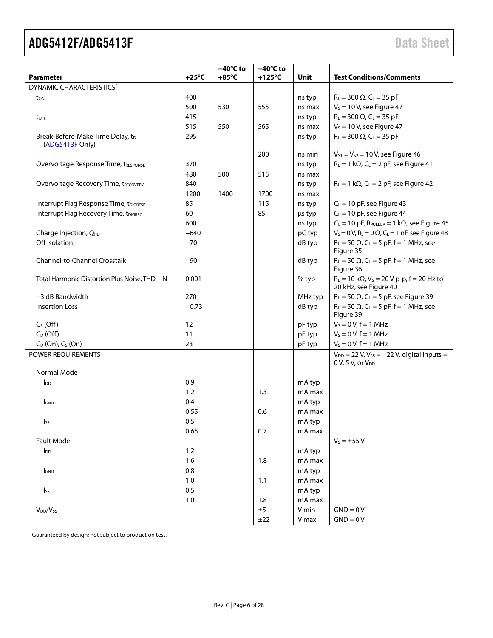| <b>Parameter</b>                              | $+25^{\circ}$ C | $-40^{\circ}$ C to<br>$+85^{\circ}$ C | $-40^{\circ}$ C to<br>$+125^{\circ}$ C | Unit    | <b>Test Conditions/Comments</b>                                                        |
|-----------------------------------------------|-----------------|---------------------------------------|----------------------------------------|---------|----------------------------------------------------------------------------------------|
| DYNAMIC CHARACTERISTICS <sup>1</sup>          |                 |                                       |                                        |         |                                                                                        |
| ton                                           | 400             |                                       |                                        | ns typ  | $R_L = 300 \Omega$ , $C_L = 35 pF$                                                     |
|                                               | 500             | 530                                   | 555                                    | ns max  | $V_s = 10 V$ , see Figure 47                                                           |
| toff                                          | 415             |                                       |                                        | ns typ  | $R_L = 300 \Omega$ , $C_L = 35 pF$                                                     |
|                                               | 515             | 550                                   | 565                                    | ns max  | $V_s = 10 V$ , see Figure 47                                                           |
| Break-Before-Make Time Delay, tD              | 295             |                                       |                                        | ns typ  | $R_L = 300 \Omega$ , $C_L = 35 pF$                                                     |
| (ADG5413F Only)                               |                 |                                       |                                        |         |                                                                                        |
|                                               |                 |                                       | 200                                    | ns min  | $V_{S1} = V_{S2} = 10 V$ , see Figure 46                                               |
| Overvoltage Response Time, tRESPONSE          | 370             |                                       |                                        | ns typ  | $R_L = 1 k\Omega$ , C <sub>L</sub> = 2 pF, see Figure 41                               |
|                                               | 480             | 500                                   | 515                                    | ns max  |                                                                                        |
| <b>Overvoltage Recovery Time, tRECOVERY</b>   | 840             |                                       |                                        | ns typ  | $R_L = 1 k\Omega$ , C <sub>L</sub> = 2 pF, see Figure 42                               |
|                                               | 1200            | 1400                                  | 1700                                   | ns max  |                                                                                        |
| Interrupt Flag Response Time, tDIGRESP        | 85              |                                       | 115                                    | ns typ  | $C_L = 10$ pF, see Figure 43                                                           |
| Interrupt Flag Recovery Time, tDIGREC         | 60              |                                       | 85                                     | µs typ  | $C_L = 10$ pF, see Figure 44                                                           |
|                                               | 600             |                                       |                                        | ns typ  | $C_L = 10$ pF, R <sub>PULLUP</sub> = 1 k $\Omega$ , see Figure 45                      |
| Charge Injection, QINJ                        | $-640$          |                                       |                                        | pC typ  | $V_s = 0 V$ , R <sub>s</sub> = 0 $\Omega$ , C <sub>L</sub> = 1 nF, see Figure 48       |
| Off Isolation                                 | $-70$           |                                       |                                        | dB typ  | $R_L = 50 \Omega$ , C <sub>L</sub> = 5 pF, f = 1 MHz, see<br>Figure 35                 |
| <b>Channel-to-Channel Crosstalk</b>           | $-90$           |                                       |                                        | dB typ  | $R_L = 50 \Omega$ , C <sub>L</sub> = 5 pF, f = 1 MHz, see<br>Figure 36                 |
| Total Harmonic Distortion Plus Noise, THD + N | 0.001           |                                       |                                        | % typ   | $R_L = 10 k\Omega$ , $V_S = 20 V p-p$ , $f = 20 Hz$ to<br>20 kHz, see Figure 40        |
| -3 dB Bandwidth                               | 270             |                                       |                                        | MHz typ | $R_L$ = 50 $\Omega$ , C <sub>L</sub> = 5 pF, see Figure 39                             |
| <b>Insertion Loss</b>                         | $-0.73$         |                                       |                                        | dB typ  | $R_L = 50 \Omega$ , C <sub>L</sub> = 5 pF, f = 1 MHz, see<br>Figure 39                 |
| $C_S(Off)$                                    | 12              |                                       |                                        | pF typ  | $V_S = 0 V, f = 1 MHz$                                                                 |
| $C_D$ (Off)                                   | 11              |                                       |                                        | pF typ  | $V_S = 0 V, f = 1 MHz$                                                                 |
| $C_D$ (On), $C_S$ (On)                        | 23              |                                       |                                        | pF typ  | $V_5 = 0 V, f = 1 MHz$                                                                 |
| POWER REQUIREMENTS                            |                 |                                       |                                        |         | $V_{DD}$ = 22 V, V <sub>SS</sub> = -22 V, digital inputs =<br>$0 V$ , 5 V, or $V_{DD}$ |
| Normal Mode                                   |                 |                                       |                                        |         |                                                                                        |
| <b>I</b> <sub>DD</sub>                        | 0.9             |                                       |                                        | mA typ  |                                                                                        |
|                                               | 1.2             |                                       | 1.3                                    | mA max  |                                                                                        |
| <b>I</b> GND                                  | 0.4             |                                       |                                        | mA typ  |                                                                                        |
|                                               | 0.55            |                                       | 0.6                                    | mA max  |                                                                                        |
| I <sub>ss</sub>                               | 0.5             |                                       |                                        | mA typ  |                                                                                        |
|                                               | 0.65            |                                       | 0.7                                    | mA max  |                                                                                        |
| Fault Mode                                    |                 |                                       |                                        |         | $V_s = \pm 55 V$                                                                       |
| $I_{DD}$                                      | 1.2             |                                       |                                        | mA typ  |                                                                                        |
|                                               | 1.6             |                                       | 1.8                                    | mA max  |                                                                                        |
| <b>IGND</b>                                   | 0.8             |                                       |                                        | mA typ  |                                                                                        |
|                                               | 1.0             |                                       | 1.1                                    | mA max  |                                                                                        |
| $\mathsf{I}_{\mathsf{SS}}$                    | 0.5             |                                       |                                        | mA typ  |                                                                                        |
|                                               | 1.0             |                                       | 1.8                                    | mA max  |                                                                                        |
| V <sub>DD</sub> /V <sub>ss</sub>              |                 |                                       | ±5                                     | V min   | $GND = 0V$                                                                             |
|                                               |                 |                                       | ±22                                    | V max   | $GND = 0V$                                                                             |

<sup>1</sup> Guaranteed by design; not subject to production test.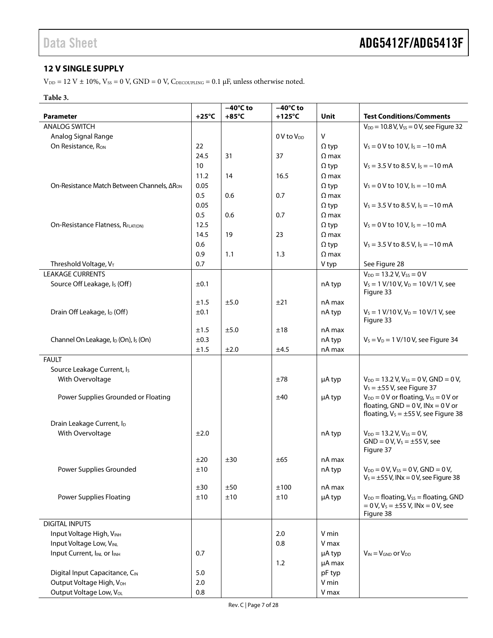### <span id="page-6-0"></span>**12 V SINGLE SUPPLY**

 $\rm{V_{\rm DD}}$  = 12 V  $\pm$  10%,  $\rm{V_{SS}}$  = 0 V, GND = 0 V,  $\rm{C_{\rm DECOUPLING}}$  = 0.1  $\rm{\mu{}F},$  unless otherwise noted.

#### **Table 3.**

|                                                              | $+25^{\circ}$ C | $-40^{\circ}$ C to | $-40^{\circ}$ C to |                              |                                                                  |
|--------------------------------------------------------------|-----------------|--------------------|--------------------|------------------------------|------------------------------------------------------------------|
| <b>Parameter</b>                                             |                 | $+85^{\circ}$ C    | +125°C             | Unit                         | <b>Test Conditions/Comments</b>                                  |
| <b>ANALOG SWITCH</b>                                         |                 |                    |                    |                              | $V_{DD} = 10.8 V, V_{SS} = 0 V,$ see Figure 32                   |
| Analog Signal Range                                          |                 |                    | $0V$ to $V_{DD}$   | $\sf V$                      |                                                                  |
| On Resistance, R <sub>ON</sub>                               | 22              |                    |                    | $\Omega$ typ                 | $V_s = 0$ V to 10 V, $I_s = -10$ mA                              |
|                                                              | 24.5<br>10      | 31                 | 37                 | $\Omega$ max                 |                                                                  |
|                                                              |                 |                    |                    | $\Omega$ typ                 | $V_s = 3.5$ V to 8.5 V, $I_s = -10$ mA                           |
|                                                              | 11.2            | 14                 | 16.5               | $\Omega$ max                 |                                                                  |
| On-Resistance Match Between Channels, ΔR <sub>ON</sub>       | 0.05            |                    |                    | $\Omega$ typ                 | $V_s = 0$ V to 10 V, $I_s = -10$ mA                              |
|                                                              | 0.5<br>0.05     | 0.6                | 0.7                | $\Omega$ max                 | $V_s = 3.5 V$ to 8.5 V, $I_s = -10$ mA                           |
|                                                              | 0.5             | 0.6                | 0.7                | $\Omega$ typ<br>$\Omega$ max |                                                                  |
| On-Resistance Flatness, RFLAT(ON)                            | 12.5            |                    |                    |                              | $V_s = 0$ V to 10 V, $I_s = -10$ mA                              |
|                                                              | 14.5            | 19                 | 23                 | $\Omega$ typ<br>$\Omega$ max |                                                                  |
|                                                              | 0.6             |                    |                    |                              | $V_s = 3.5 V$ to 8.5 V, $I_s = -10$ mA                           |
|                                                              | 0.9             | 1.1                | 1.3                | $\Omega$ typ<br>$\Omega$ max |                                                                  |
| Threshold Voltage, VT                                        | 0.7             |                    |                    | V typ                        | See Figure 28                                                    |
| <b>LEAKAGE CURRENTS</b>                                      |                 |                    |                    |                              | $V_{DD} = 13.2 V, V_{SS} = 0 V$                                  |
| Source Off Leakage, I <sub>s</sub> (Off)                     | ±0.1            |                    |                    |                              | $V_s = 1 V/10 V, V_D = 10 V/1 V,$ see                            |
|                                                              |                 |                    |                    | nA typ                       | Figure 33                                                        |
|                                                              | ±1.5            | ±5.0               | ±21                | nA max                       |                                                                  |
| Drain Off Leakage, I <sub>D</sub> (Off)                      | ±0.1            |                    |                    | nA typ                       | $V_s = 1$ V/10 V, V <sub>D</sub> = 10 V/1 V, see                 |
|                                                              |                 |                    |                    |                              | Figure 33                                                        |
|                                                              | ±1.5            | ±5.0               | ±18                | nA max                       |                                                                  |
| Channel On Leakage, I <sub>D</sub> (On), I <sub>S</sub> (On) | ±0.3            |                    |                    | nA typ                       | $V_s = V_D = 1 V/10 V$ , see Figure 34                           |
|                                                              | ±1.5            | ±2.0               | ±4.5               | nA max                       |                                                                  |
| <b>FAULT</b>                                                 |                 |                    |                    |                              |                                                                  |
| Source Leakage Current, Is                                   |                 |                    |                    |                              |                                                                  |
| With Overvoltage                                             |                 |                    | ±78                | µA typ                       | $V_{DD} = 13.2 V, V_{SS} = 0 V, GND = 0 V,$                      |
|                                                              |                 |                    |                    |                              | $V_s = \pm 55$ V, see Figure 37                                  |
| Power Supplies Grounded or Floating                          |                 |                    | ±40                | µA typ                       | $V_{DD} = 0$ V or floating, $V_{SS} = 0$ V or                    |
|                                                              |                 |                    |                    |                              | floating, $GND = 0 V$ , $INx = 0 V$ or                           |
|                                                              |                 |                    |                    |                              | floating, $V_s = \pm 55$ V, see Figure 38                        |
| Drain Leakage Current, ID<br>With Overvoltage                | ±2.0            |                    |                    |                              |                                                                  |
|                                                              |                 |                    |                    | nA typ                       | $V_{DD} = 13.2 V, V_{SS} = 0 V,$<br>$GND = 0 V, VS = ±55 V, see$ |
|                                                              |                 |                    |                    |                              | Figure 37                                                        |
|                                                              | ±20             | ±30                | ±65                | nA max                       |                                                                  |
| Power Supplies Grounded                                      | ±10             |                    |                    | nA typ                       | $V_{DD} = 0 V$ , $V_{SS} = 0 V$ , GND = 0V,                      |
|                                                              |                 |                    |                    |                              | $V_s = \pm 55$ V, INx = 0 V, see Figure 38                       |
|                                                              | ±30             | ±50                | ±100               | nA max                       |                                                                  |
| <b>Power Supplies Floating</b>                               | ±10             | ±10                | ±10                | µA typ                       | $V_{DD}$ = floating, $V_{SS}$ = floating, GND                    |
|                                                              |                 |                    |                    |                              | $= 0 V, V_s = \pm 55 V,$ INx = 0 V, see                          |
|                                                              |                 |                    |                    |                              | Figure 38                                                        |
| <b>DIGITAL INPUTS</b>                                        |                 |                    |                    |                              |                                                                  |
| Input Voltage High, VINH                                     |                 |                    | 2.0                | V min                        |                                                                  |
| Input Voltage Low, VINL                                      |                 |                    | 0.8                | V max                        |                                                                  |
| Input Current, IINL or IINH                                  | 0.7             |                    |                    | µA typ                       | $V_{IN} = V_{GND}$ or $V_{DD}$                                   |
|                                                              |                 |                    | 1.2                | µA max                       |                                                                  |
| Digital Input Capacitance, CIN                               | 5.0             |                    |                    | pF typ                       |                                                                  |
| Output Voltage High, V <sub>OH</sub>                         | 2.0             |                    |                    | V min                        |                                                                  |
| Output Voltage Low, Vol.                                     | 0.8             |                    |                    | V max                        |                                                                  |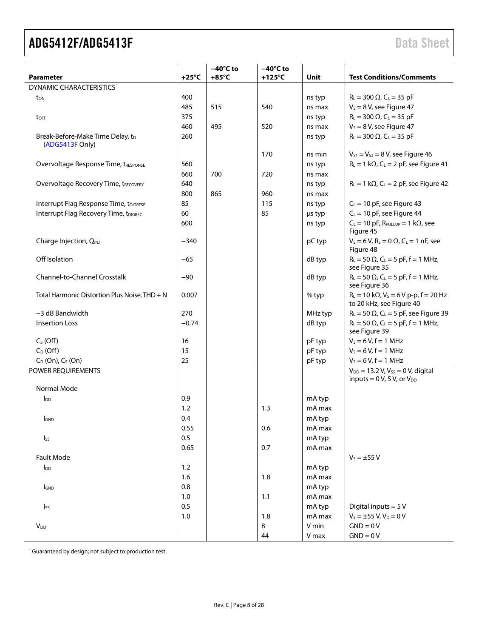|                                                     |                 | $-40^{\circ}$ C to | $-40^{\circ}$ C to |         |                                                                                |
|-----------------------------------------------------|-----------------|--------------------|--------------------|---------|--------------------------------------------------------------------------------|
| <b>Parameter</b>                                    | $+25^{\circ}$ C | $+85^{\circ}$ C    | $+125^{\circ}$ C   | Unit    | <b>Test Conditions/Comments</b>                                                |
| DYNAMIC CHARACTERISTICS <sup>1</sup>                |                 |                    |                    |         |                                                                                |
| ton                                                 | 400             |                    |                    | ns typ  | $R_L = 300 \Omega$ , $C_L = 35 pF$                                             |
|                                                     | 485             | 515                | 540                | ns max  | $V_s = 8 V$ , see Figure 47                                                    |
| toff                                                | 375             |                    |                    | ns typ  | $R_L = 300 \Omega$ , $C_L = 35 pF$                                             |
|                                                     | 460             | 495                | 520                | ns max  | $V_s = 8 V$ , see Figure 47                                                    |
| Break-Before-Make Time Delay, tD<br>(ADG5413F Only) | 260             |                    |                    | ns typ  | $R_L = 300 \Omega$ , $C_L = 35 pF$                                             |
|                                                     |                 |                    | 170                | ns min  | $V_{S1} = V_{S2} = 8 V$ , see Figure 46                                        |
| Overvoltage Response Time, tRESPONSE                | 560             |                    |                    | ns typ  | $R_L = 1 k\Omega$ , C <sub>L</sub> = 2 pF, see Figure 41                       |
|                                                     | 660             | 700                | 720                | ns max  |                                                                                |
| <b>Overvoltage Recovery Time, tRECOVERY</b>         | 640             |                    |                    | ns typ  | $R_L = 1 k\Omega$ , C <sub>L</sub> = 2 pF, see Figure 42                       |
|                                                     | 800             | 865                | 960                | ns max  |                                                                                |
| Interrupt Flag Response Time, tDIGRESP              | 85              |                    | 115                | ns typ  | $C_L = 10$ pF, see Figure 43                                                   |
| Interrupt Flag Recovery Time, tDIGREC               | 60              |                    | 85                 | µs typ  | $C_L = 10$ pF, see Figure 44                                                   |
|                                                     | 600             |                    |                    | ns typ  | $C_L = 10$ pF, R <sub>PULLUP</sub> = 1 k $\Omega$ , see<br>Figure 45           |
| Charge Injection, QINJ                              | $-340$          |                    |                    | pC typ  | $V_S = 6 V$ , $R_S = 0 \Omega$ , $C_L = 1 nF$ , see<br>Figure 48               |
| Off Isolation                                       | $-65$           |                    |                    | dB typ  | $R_L = 50 \Omega$ , $C_L = 5 pF$ , $f = 1 MHz$ ,<br>see Figure 35              |
| Channel-to-Channel Crosstalk                        | $-90$           |                    |                    | dB typ  | $R_L = 50 \Omega$ , $C_L = 5 pF$ , f = 1 MHz,<br>see Figure 36                 |
| Total Harmonic Distortion Plus Noise, THD + N       | 0.007           |                    |                    | $%$ typ | $R_L = 10 k\Omega$ , $V_S = 6 V p-p$ , $f = 20 Hz$<br>to 20 kHz, see Figure 40 |
| $-3$ dB Bandwidth                                   | 270             |                    |                    | MHz typ | $R_L = 50 \Omega$ , C <sub>L</sub> = 5 pF, see Figure 39                       |
| <b>Insertion Loss</b>                               | $-0.74$         |                    |                    | dB typ  | $R_{L} = 50 \Omega$ , C <sub>L</sub> = 5 pF, f = 1 MHz,<br>see Figure 39       |
| $CS$ (Off)                                          | 16              |                    |                    | pF typ  | $V_s = 6 V, f = 1 MHz$                                                         |
| $C_D$ (Off)                                         | 15              |                    |                    | pF typ  | $V_5 = 6 V, f = 1 MHz$                                                         |
| $C_D$ (On), $C_S$ (On)                              | 25              |                    |                    | pF typ  | $V_s = 6 V, f = 1 MHz$                                                         |
| POWER REQUIREMENTS                                  |                 |                    |                    |         | $V_{DD} = 13.2 V, V_{SS} = 0 V,$ digital<br>inputs = $0 V$ , 5V, or $V_{DD}$   |
| Normal Mode                                         |                 |                    |                    |         |                                                                                |
| <b>l</b> <sub>DD</sub>                              | 0.9             |                    |                    | mA typ  |                                                                                |
|                                                     | 1.2             |                    | 1.3                | mA max  |                                                                                |
| <b>I</b> GND                                        | 0.4             |                    |                    | mA typ  |                                                                                |
|                                                     | 0.55            |                    | 0.6                | mA max  |                                                                                |
| Iss                                                 | 0.5             |                    |                    | mA typ  |                                                                                |
|                                                     | 0.65            |                    | 0.7                | mA max  |                                                                                |
| <b>Fault Mode</b>                                   |                 |                    |                    |         | $V_s = \pm 55 V$                                                               |
| $I_{DD}$                                            | 1.2             |                    |                    | mA typ  |                                                                                |
|                                                     | 1.6             |                    | 1.8                | mA max  |                                                                                |
| <b>I</b> GND                                        | $0.8\,$         |                    |                    | mA typ  |                                                                                |
|                                                     | 1.0             |                    | 1.1                | mA max  |                                                                                |
| Iss                                                 | 0.5             |                    |                    | mA typ  | Digital inputs = $5V$                                                          |
|                                                     | $1.0$           |                    | 1.8                | mA max  | $V_S = \pm 55 V$ , $V_D = 0 V$                                                 |
| V <sub>DD</sub>                                     |                 |                    | 8                  | V min   | $GND = 0V$                                                                     |
|                                                     |                 |                    | 44                 | V max   | $GND = 0V$                                                                     |

<sup>1</sup> Guaranteed by design; not subject to production test.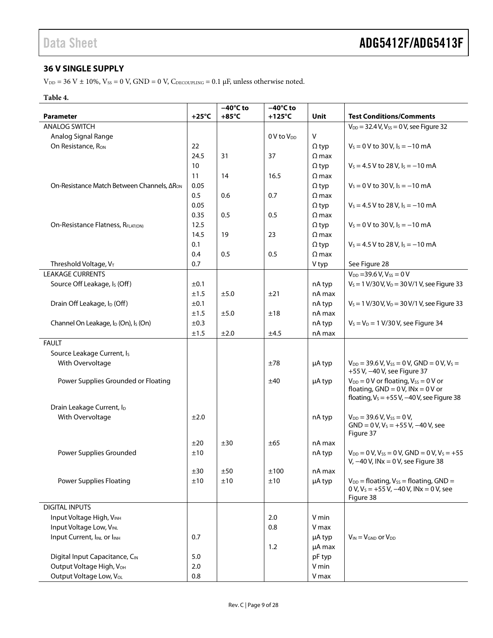#### <span id="page-8-0"></span>**36 V SINGLE SUPPLY**

 $\rm{V_{\rm DD}}$  = 36 V  $\pm$  10%,  $\rm{V_{SS}}$  = 0 V, GND = 0 V,  $\rm{C_{\rm DECOUPLING}}$  = 0.1  $\rm{\mu{}F},$  unless otherwise noted.

#### **Table 4.**

|                                                              |                 | $-40^{\circ}$ C to | $-40^{\circ}$ C to |              |                                                                                                                                              |
|--------------------------------------------------------------|-----------------|--------------------|--------------------|--------------|----------------------------------------------------------------------------------------------------------------------------------------------|
| <b>Parameter</b>                                             | $+25^{\circ}$ C | $+85^{\circ}$ C    | $+125^{\circ}C$    | Unit         | <b>Test Conditions/Comments</b>                                                                                                              |
| <b>ANALOG SWITCH</b>                                         |                 |                    |                    |              | $V_{DD} = 32.4 V, V_{SS} = 0 V,$ see Figure 32                                                                                               |
| Analog Signal Range                                          |                 |                    | $0V$ to $V_{DD}$   | $\mathsf{V}$ |                                                                                                                                              |
| On Resistance, R <sub>ON</sub>                               | 22              |                    |                    | $\Omega$ typ | $V_s = 0$ V to 30 V, $I_s = -10$ mA                                                                                                          |
|                                                              | 24.5            | 31                 | 37                 | $\Omega$ max |                                                                                                                                              |
|                                                              | 10              |                    |                    | $\Omega$ typ | $V_s = 4.5 V$ to 28 V, $I_s = -10$ mA                                                                                                        |
|                                                              | 11              | 14                 | 16.5               | $\Omega$ max |                                                                                                                                              |
| On-Resistance Match Between Channels, ΔR <sub>ON</sub>       | 0.05            |                    |                    | $\Omega$ typ | $V_s = 0$ V to 30 V, $I_s = -10$ mA                                                                                                          |
|                                                              | 0.5             | 0.6                | 0.7                | $\Omega$ max |                                                                                                                                              |
|                                                              | 0.05            |                    |                    | $\Omega$ typ | $V_s = 4.5 V$ to 28 V, $I_s = -10$ mA                                                                                                        |
|                                                              | 0.35            | 0.5                | 0.5                | $\Omega$ max |                                                                                                                                              |
| On-Resistance Flatness, RFLAT(ON)                            | 12.5            |                    |                    | $\Omega$ typ | $V_s = 0$ V to 30 V, $I_s = -10$ mA                                                                                                          |
|                                                              | 14.5            | 19                 | 23                 | $\Omega$ max |                                                                                                                                              |
|                                                              | 0.1             |                    |                    | $\Omega$ typ | $V_s = 4.5 V$ to 28 V, $I_s = -10$ mA                                                                                                        |
|                                                              | 0.4             | 0.5                | 0.5                | $\Omega$ max |                                                                                                                                              |
| Threshold Voltage, VT                                        | 0.7             |                    |                    | V typ        | See Figure 28                                                                                                                                |
| <b>LEAKAGE CURRENTS</b>                                      |                 |                    |                    |              | $V_{DD} = 39.6 V, V_{SS} = 0 V$                                                                                                              |
| Source Off Leakage, I <sub>s</sub> (Off)                     | ±0.1            |                    |                    | nA typ       | $V_s = 1 \text{ V}/30 \text{ V}, V_D = 30 \text{ V}/1 \text{ V},$ see Figure 33                                                              |
|                                                              | ±1.5            | ±5.0               | ±21                | nA max       |                                                                                                                                              |
| Drain Off Leakage, I <sub>D</sub> (Off)                      | ±0.1            |                    |                    | nA typ       | $V_s = 1 \text{ V}/30 \text{ V}, V_D = 30 \text{ V}/1 \text{ V},$ see Figure 33                                                              |
|                                                              | ±1.5            | ±5.0               | ±18                | nA max       |                                                                                                                                              |
| Channel On Leakage, I <sub>D</sub> (On), I <sub>S</sub> (On) | ±0.3            |                    |                    | nA typ       | $V_s = V_D = 1 \text{ V}/30 \text{ V}$ , see Figure 34                                                                                       |
|                                                              | ±1.5            | ±2.0               |                    | nA max       |                                                                                                                                              |
|                                                              |                 |                    | ±4.5               |              |                                                                                                                                              |
| <b>FAULT</b>                                                 |                 |                    |                    |              |                                                                                                                                              |
| Source Leakage Current, Is                                   |                 |                    |                    |              |                                                                                                                                              |
| With Overvoltage                                             |                 |                    | ±78                | µA typ       | $V_{DD}$ = 39.6 V, V <sub>SS</sub> = 0 V, GND = 0 V, V <sub>S</sub> =<br>+55 V, -40 V, see Figure 37                                         |
| Power Supplies Grounded or Floating                          |                 |                    | ±40                | µA typ       | $V_{DD} = 0$ V or floating, $V_{SS} = 0$ V or<br>floating, $GND = 0 V$ , $INx = 0 V$ or<br>floating, $V_s = +55 V$ , $-40 V$ , see Figure 38 |
| Drain Leakage Current, ID                                    |                 |                    |                    |              |                                                                                                                                              |
| With Overvoltage                                             | ±2.0            |                    |                    | nA typ       | $V_{DD}$ = 39.6 V, $V_{SS}$ = 0 V,<br>$GND = 0 V, VS = +55 V, -40 V,$ see<br>Figure 37                                                       |
|                                                              | ±20             | ±30                | ±65                | nA max       |                                                                                                                                              |
| Power Supplies Grounded                                      | ±10             |                    |                    | nA typ       | $V_{DD} = 0 V$ , $V_{SS} = 0 V$ , GND = 0 V, $V_S = +55$<br>V, $-40$ V, INx = 0 V, see Figure 38                                             |
|                                                              | ±30             | ±50                | ±100               | nA max       |                                                                                                                                              |
| <b>Power Supplies Floating</b>                               | ±10             | ±10                | ±10                | µA typ       | $V_{DD}$ = floating, $V_{SS}$ = floating, GND =<br>0 V, $V_s = +55$ V, $-40$ V, INx = 0 V, see<br>Figure 38                                  |
| <b>DIGITAL INPUTS</b>                                        |                 |                    |                    |              |                                                                                                                                              |
| Input Voltage High, VINH                                     |                 |                    | 2.0                | V min        |                                                                                                                                              |
| Input Voltage Low, VINL                                      |                 |                    | 0.8                | V max        |                                                                                                                                              |
| Input Current, IINL or IINH                                  | 0.7             |                    |                    | µA typ       | $V_{IN} = V_{GND}$ or $V_{DD}$                                                                                                               |
|                                                              |                 |                    | 1.2                | µA max       |                                                                                                                                              |
| Digital Input Capacitance, CIN                               | 5.0             |                    |                    | pF typ       |                                                                                                                                              |
| Output Voltage High, V <sub>OH</sub>                         | 2.0             |                    |                    | V min        |                                                                                                                                              |
| Output Voltage Low, VoL                                      | 0.8             |                    |                    | V max        |                                                                                                                                              |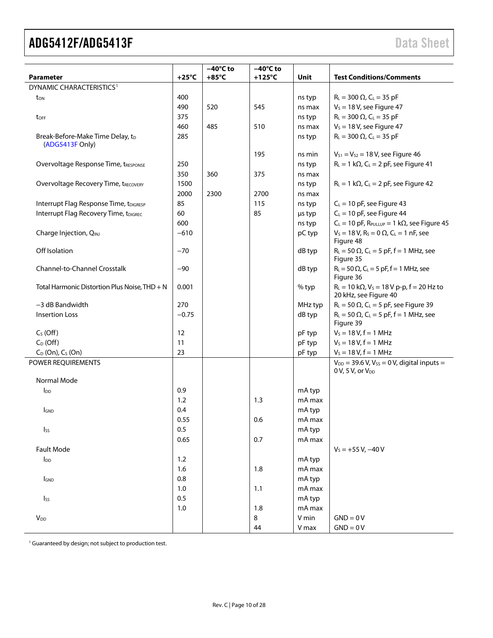| <b>Parameter</b>                                    | $+25^{\circ}$ C | $-40^{\circ}$ C to<br>$+85^{\circ}$ C | $-40^{\circ}$ C to<br>$+125^{\circ}$ C | Unit    | <b>Test Conditions/Comments</b>                                                        |
|-----------------------------------------------------|-----------------|---------------------------------------|----------------------------------------|---------|----------------------------------------------------------------------------------------|
| DYNAMIC CHARACTERISTICS <sup>1</sup>                |                 |                                       |                                        |         |                                                                                        |
| ton                                                 | 400             |                                       |                                        | ns typ  | $R_L = 300 \Omega$ , $C_L = 35 pF$                                                     |
|                                                     | 490             | 520                                   | 545                                    | ns max  | $V_s = 18$ V, see Figure 47                                                            |
| toff                                                | 375             |                                       |                                        | ns typ  | $R_L = 300 \Omega$ , $C_L = 35 pF$                                                     |
|                                                     | 460             | 485                                   | 510                                    | ns max  | $V_s = 18$ V, see Figure 47                                                            |
| Break-Before-Make Time Delay, tD<br>(ADG5413F Only) | 285             |                                       |                                        | ns typ  | $R_L = 300 \Omega$ , $C_L = 35 pF$                                                     |
|                                                     |                 |                                       | 195                                    | ns min  | $V_{S1} = V_{S2} = 18$ V, see Figure 46                                                |
| Overvoltage Response Time, tRESPONSE                | 250             |                                       |                                        | ns typ  | $R_L = 1 k\Omega$ , C <sub>L</sub> = 2 pF, see Figure 41                               |
|                                                     | 350             | 360                                   | 375                                    | ns max  |                                                                                        |
| <b>Overvoltage Recovery Time, tRECOVERY</b>         | 1500            |                                       |                                        | ns typ  | $R_L = 1 k\Omega$ , C <sub>L</sub> = 2 pF, see Figure 42                               |
|                                                     | 2000            | 2300                                  | 2700                                   | ns max  |                                                                                        |
| Interrupt Flag Response Time, tDIGRESP              | 85              |                                       | 115                                    | ns typ  | $C_L = 10$ pF, see Figure 43                                                           |
| Interrupt Flag Recovery Time, tDIGREC               | 60              |                                       | 85                                     | us typ  | $C_L = 10$ pF, see Figure 44                                                           |
|                                                     | 600             |                                       |                                        | ns typ  | $C_L = 10$ pF, R <sub>PULLUP</sub> = 1 k $\Omega$ , see Figure 45                      |
| Charge Injection, QINJ                              | $-610$          |                                       |                                        | pC typ  | $V_s = 18 V$ , $R_s = 0 \Omega$ , $C_l = 1 nF$ , see<br>Figure 48                      |
| Off Isolation                                       | -70             |                                       |                                        | dB typ  | $R_L = 50 \Omega$ , C <sub>L</sub> = 5 pF, f = 1 MHz, see<br>Figure 35                 |
| <b>Channel-to-Channel Crosstalk</b>                 | $-90$           |                                       |                                        | dB typ  | $R_L = 50 \Omega$ , C <sub>L</sub> = 5 pF, f = 1 MHz, see<br>Figure 36                 |
| Total Harmonic Distortion Plus Noise, THD + N       | 0.001           |                                       |                                        | % typ   | $R_L = 10 k\Omega$ , $V_S = 18 V p-p$ , $f = 20 Hz$ to<br>20 kHz, see Figure 40        |
| $-3$ dB Bandwidth                                   | 270             |                                       |                                        | MHz typ | $R_L$ = 50 $\Omega$ , C <sub>L</sub> = 5 pF, see Figure 39                             |
| <b>Insertion Loss</b>                               | $-0.75$         |                                       |                                        | dB typ  | $R_L = 50 \Omega$ , C <sub>L</sub> = 5 pF, f = 1 MHz, see<br>Figure 39                 |
| $CS$ (Off)                                          | 12              |                                       |                                        | pF typ  | $V_s = 18 V, f = 1 MHz$                                                                |
| $C_D$ (Off)                                         | 11              |                                       |                                        | pF typ  | $V_s = 18 V, f = 1 MHz$                                                                |
| $C_D$ (On), $C_S$ (On)                              | 23              |                                       |                                        | pF typ  | $V_s = 18 V, f = 1 MHz$                                                                |
| POWER REQUIREMENTS                                  |                 |                                       |                                        |         | $V_{DD}$ = 39.6 V, V <sub>ss</sub> = 0 V, digital inputs =<br>$0 V$ , 5 V, or $V_{DD}$ |
| Normal Mode                                         |                 |                                       |                                        |         |                                                                                        |
| $I_{DD}$                                            | 0.9             |                                       |                                        | mA typ  |                                                                                        |
|                                                     | 1.2             |                                       | 1.3                                    | mA max  |                                                                                        |
| <b>I</b> GND                                        | 0.4             |                                       |                                        | mA typ  |                                                                                        |
|                                                     | 0.55            |                                       | 0.6                                    | mA max  |                                                                                        |
| $I_{SS}$                                            | 0.5             |                                       |                                        | mA typ  |                                                                                        |
|                                                     | 0.65            |                                       | 0.7                                    | mA max  |                                                                                        |
| Fault Mode                                          |                 |                                       |                                        |         | $V_s = +55 V, -40 V$                                                                   |
| $I_{DD}$                                            | 1.2             |                                       |                                        | mA typ  |                                                                                        |
|                                                     | 1.6             |                                       | 1.8                                    | mA max  |                                                                                        |
| <b>I</b> GND                                        | 0.8             |                                       |                                        | mA typ  |                                                                                        |
|                                                     | 1.0             |                                       | 1.1                                    | mA max  |                                                                                        |
| Iss                                                 | 0.5             |                                       |                                        | mA typ  |                                                                                        |
|                                                     | 1.0             |                                       | 1.8                                    | mA max  |                                                                                        |
| <b>V</b> <sub>DD</sub>                              |                 |                                       | 8                                      | V min   | $GND = 0V$                                                                             |
|                                                     |                 |                                       | 44                                     | V max   | $GND = 0V$                                                                             |

<sup>1</sup> Guaranteed by design; not subject to production test.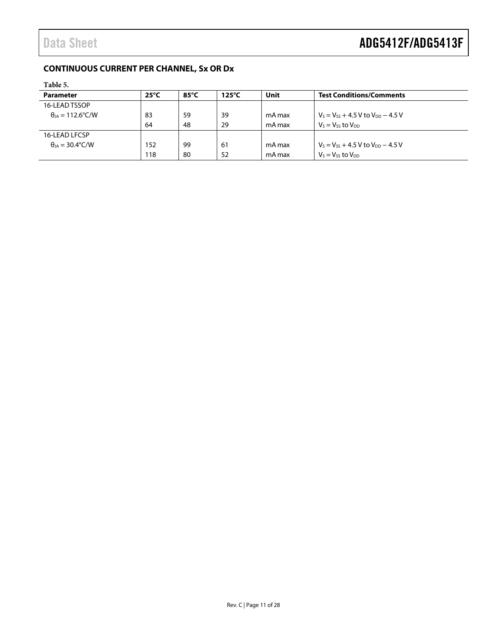### <span id="page-10-0"></span>**CONTINUOUS CURRENT PER CHANNEL, Sx OR Dx**

<span id="page-10-1"></span>

| Table 5.                          |                |                 |                 |        |                                            |
|-----------------------------------|----------------|-----------------|-----------------|--------|--------------------------------------------|
| <b>Parameter</b>                  | $25^{\circ}$ C | 85 $^{\circ}$ C | $125^{\circ}$ C | Unit   | <b>Test Conditions/Comments</b>            |
| 16-LEAD TSSOP                     |                |                 |                 |        |                                            |
| $\theta_{IA} = 112.6^{\circ}$ C/W | 83             | 59              | 39              | mA max | $V_s = V_{ss} + 4.5 V$ to $V_{DD} - 4.5 V$ |
|                                   | 64             | 48              | 29              | mA max | $V_s = V_{ss}$ to $V_{DD}$                 |
| 16-LEAD LFCSP                     |                |                 |                 |        |                                            |
| $\theta_{IA} = 30.4^{\circ}$ C/W  | 152            | 99              | 61              | mA max | $V_s = V_{ss} + 4.5 V$ to $V_{DD} - 4.5 V$ |
|                                   | 118            | -80             | 52              | mA max | $V_s = V_{ss}$ to $V_{DD}$                 |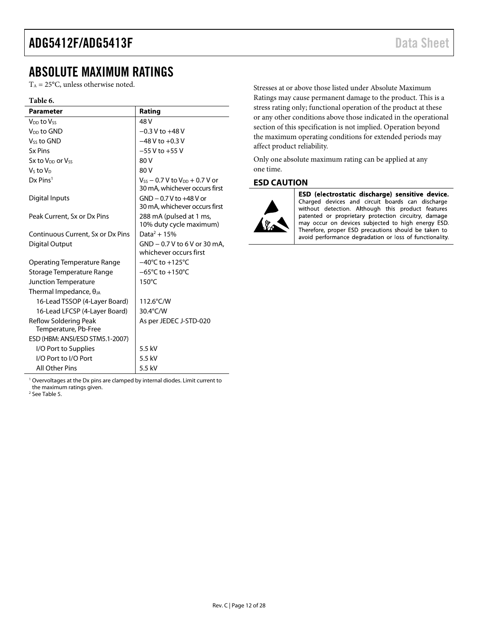### <span id="page-11-0"></span>ABSOLUTE MAXIMUM RATINGS

 $T_A = 25$ °C, unless otherwise noted.

#### **Table 6.**

| <b>Parameter</b>                                     | Rating                                                                   |
|------------------------------------------------------|--------------------------------------------------------------------------|
| V <sub>DD</sub> to Vss                               | 48 V                                                                     |
| V <sub>DD</sub> to GND                               | $-0.3$ V to $+48$ V                                                      |
| V <sub>ss</sub> to GND                               | $-48$ V to $+0.3$ V                                                      |
| <b>Sx Pins</b>                                       | $-55$ V to $+55$ V                                                       |
| Sx to V <sub>DD</sub> or Vss                         | 80 V                                                                     |
| Vs to V <sub>D</sub>                                 | 80 V                                                                     |
| $Dx$ Pins <sup>1</sup>                               | $V_{ss}$ – 0.7 V to $V_{DD}$ + 0.7 V or<br>30 mA, whichever occurs first |
| Digital Inputs                                       | $GND - 0.7V$ to $+48V$ or<br>30 mA, whichever occurs first               |
| Peak Current, Sx or Dx Pins                          | 288 mA (pulsed at 1 ms,<br>10% duty cycle maximum)                       |
| Continuous Current, Sx or Dx Pins                    | Data <sup>2</sup> + 15%                                                  |
| Digital Output                                       | GND - 0.7 V to 6 V or 30 mA.<br>whichever occurs first                   |
| Operating Temperature Range                          | $-40^{\circ}$ C to $+125^{\circ}$ C                                      |
| Storage Temperature Range                            | $-65^{\circ}$ C to $+150^{\circ}$ C                                      |
| Junction Temperature                                 | $150^{\circ}$ C                                                          |
| Thermal Impedance, $\theta_{JA}$                     |                                                                          |
| 16-Lead TSSOP (4-Layer Board)                        | 112.6°C/W                                                                |
| 16-Lead LFCSP (4-Layer Board)                        | 30.4°C/W                                                                 |
| <b>Reflow Soldering Peak</b><br>Temperature, Pb-Free | As per JEDEC J-STD-020                                                   |
| ESD (HBM: ANSI/ESD STM5.1-2007)                      |                                                                          |
| I/O Port to Supplies                                 | 5.5 kV                                                                   |
| I/O Port to I/O Port                                 | 5.5 kV                                                                   |
| <b>All Other Pins</b>                                | 5.5 kV                                                                   |

<sup>1</sup> Overvoltages at the Dx pins are clamped by internal diodes. Limit current to

the maximum ratings given.

2 Se[e Table 5.](#page-10-1) 

Stresses at or above those listed under Absolute Maximum Ratings may cause permanent damage to the product. This is a stress rating only; functional operation of the product at these or any other conditions above those indicated in the operational section of this specification is not implied. Operation beyond the maximum operating conditions for extended periods may affect product reliability.

Only one absolute maximum rating can be applied at any one time.

#### <span id="page-11-1"></span>**ESD CAUTION**



ESD (electrostatic discharge) sensitive device. Charged devices and circuit boards can discharge without detection. Although this product features patented or proprietary protection circuitry, damage may occur on devices subjected to high energy ESD. Therefore, proper ESD precautions should be taken to avoid performance degradation or loss of functionality.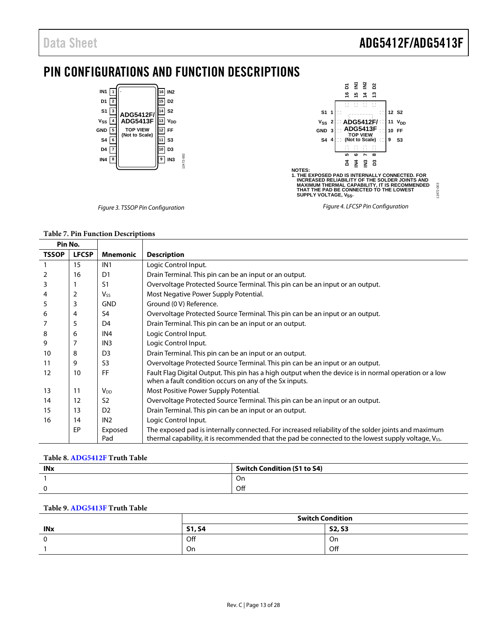# <span id="page-12-0"></span>PIN CONFIGURATIONS AND FUNCTION DESCRIPTIONS



#### **Table 7. Pin Function Descriptions**

| Pin No.      |              |                 |                                                                                                                                                                                                           |
|--------------|--------------|-----------------|-----------------------------------------------------------------------------------------------------------------------------------------------------------------------------------------------------------|
| <b>TSSOP</b> | <b>LFCSP</b> | <b>Mnemonic</b> | <b>Description</b>                                                                                                                                                                                        |
|              | 15           | IN <sub>1</sub> | Logic Control Input.                                                                                                                                                                                      |
| 2            | 16           | D1              | Drain Terminal. This pin can be an input or an output.                                                                                                                                                    |
| 3            |              | S1              | Overvoltage Protected Source Terminal. This pin can be an input or an output.                                                                                                                             |
| 4            | 2            | $V_{SS}$        | Most Negative Power Supply Potential.                                                                                                                                                                     |
| 5            | 3            | <b>GND</b>      | Ground (0 V) Reference.                                                                                                                                                                                   |
| 6            | 4            | S4              | Overvoltage Protected Source Terminal. This pin can be an input or an output.                                                                                                                             |
|              | 5            | D4              | Drain Terminal. This pin can be an input or an output.                                                                                                                                                    |
| 8            | 6            | IN4             | Logic Control Input.                                                                                                                                                                                      |
| 9            |              | IN <sub>3</sub> | Logic Control Input.                                                                                                                                                                                      |
| 10           | 8            | D <sub>3</sub>  | Drain Terminal. This pin can be an input or an output.                                                                                                                                                    |
| 11           | 9            | S3              | Overvoltage Protected Source Terminal. This pin can be an input or an output.                                                                                                                             |
| 12           | 10           | FF              | Fault Flag Digital Output. This pin has a high output when the device is in normal operation or a low<br>when a fault condition occurs on any of the Sx inputs.                                           |
| 13           | 11           | V <sub>DD</sub> | Most Positive Power Supply Potential.                                                                                                                                                                     |
| 14           | 12           | S <sub>2</sub>  | Overvoltage Protected Source Terminal. This pin can be an input or an output.                                                                                                                             |
| 15           | 13           | D <sub>2</sub>  | Drain Terminal. This pin can be an input or an output.                                                                                                                                                    |
| 16           | 14           | IN <sub>2</sub> | Logic Control Input.                                                                                                                                                                                      |
|              | EP           | Exposed<br>Pad  | The exposed pad is internally connected. For increased reliability of the solder joints and maximum<br>thermal capability, it is recommended that the pad be connected to the lowest supply voltage, Vss. |

#### **Table 8[. ADG5412F](http://www.analog.com/ADG5412F?doc=ADG5412F_5413F.pdf) Truth Table**

| <b>INx</b> | <b>Switch Condition (S1 to S4)</b> |
|------------|------------------------------------|
|            | On                                 |
|            | Off                                |

#### **Table 9[. ADG5413F](http://www.analog.com/ADG5413F?doc=ADG5412F_5413F.pdf) Truth Table**

|            | <b>Switch Condition</b> |               |  |
|------------|-------------------------|---------------|--|
| <b>INx</b> | <b>S1, S4</b>           | <b>S2, S3</b> |  |
| $\sim$     | Off                     | On            |  |
|            | On                      | Off           |  |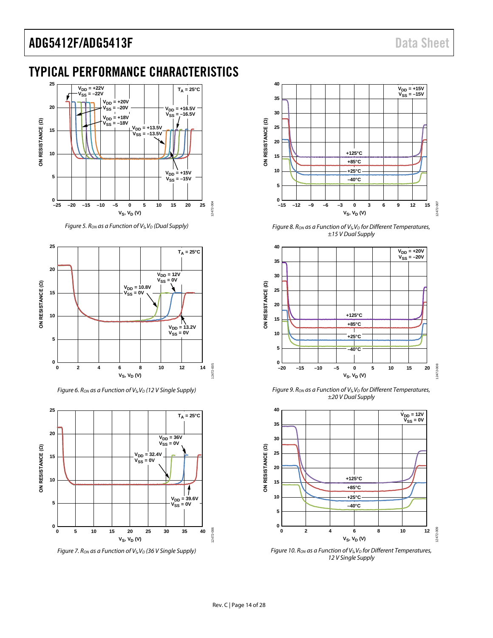# <span id="page-13-0"></span>TYPICAL PERFORMANCE CHARACTERISTICS



*Figure 5. Ron as a Function of V<sub>S</sub>, V<sub>D</sub> (Dual Supply)* 



*Figure 6. Ron as a Function of V<sub>S</sub>, V<sub>D</sub> (12 V Single Supply)* 



*Figure 7. Ron as a Function of Vs, V<sub>D</sub> (36 V Single Supply)* 



*Figure 8. Ron as a Function of Vs, V<sub>D</sub> for Different Temperatures, ±15 V Dual Supply*



*Figure 9. Ron as a Function of Vs, V<sub>D</sub> for Different Temperatures, ±20 V Dual Supply*



*Figure 10. Ron as a Function of Vs, V<sub>D</sub> for Different Temperatures, 12 V Single Supply*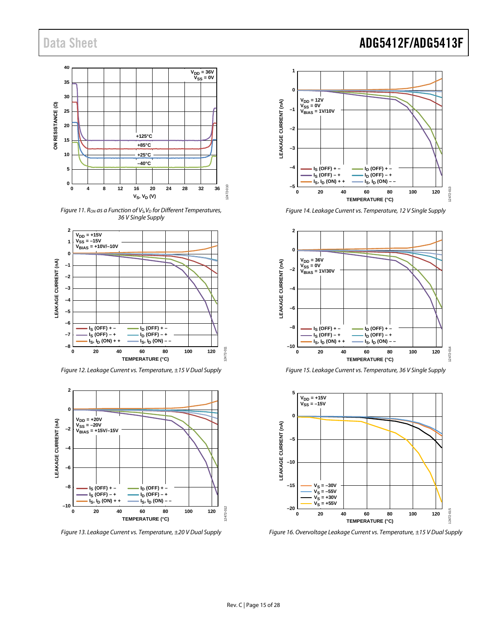

*Figure 11. Ron as a Function of Vs, V<sub>D</sub> for Different Temperatures, 36 V Single Supply*



*Figure 12. Leakage Current vs. Temperature, ±15 V Dual Supply*



*Figure 13. Leakage Current vs. Temperature, ±20 V Dual Supply*

## Data Sheet **ADG5412F/ADG5413F**



*Figure 14. Leakage Current vs. Temperature, 12 V Single Supply*







*Figure 16. Overvoltage Leakage Current vs. Temperature, ±15 V Dual Supply*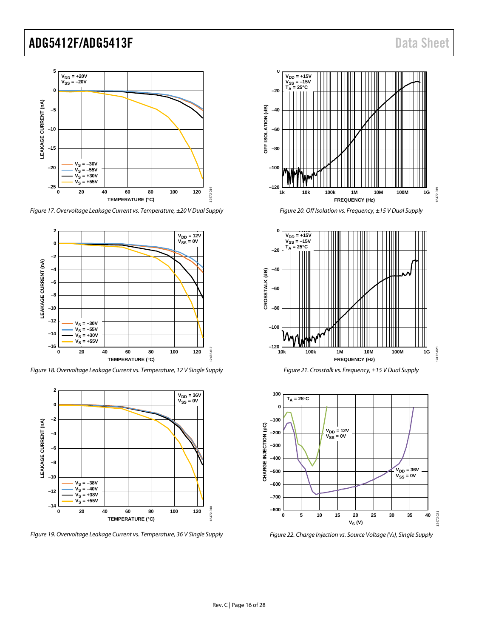

*Figure 17. Overvoltage Leakage Current vs. Temperature, ±20 V Dual Supply*



*Figure 18. Overvoltage Leakage Current vs. Temperature, 12 V Single Supply*



*Figure 19. Overvoltage Leakage Current vs. Temperature, 36 V Single Supply*











*Figure 22. Charge Injection vs. Source Voltage (VS), Single Supply*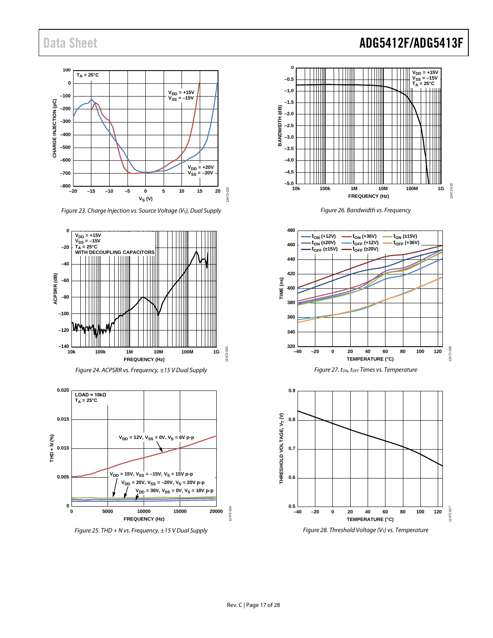

*Figure 23. Charge Injection vs. Source Voltage (VS), Dual Supply*







*Figure 25. THD + N vs. Frequency, ±15 V Dual Supply*

## Data Sheet **ADG5412F/ADG5413F**









<span id="page-16-0"></span>*Figure 28. Threshold Voltage (VT) vs. Temperature*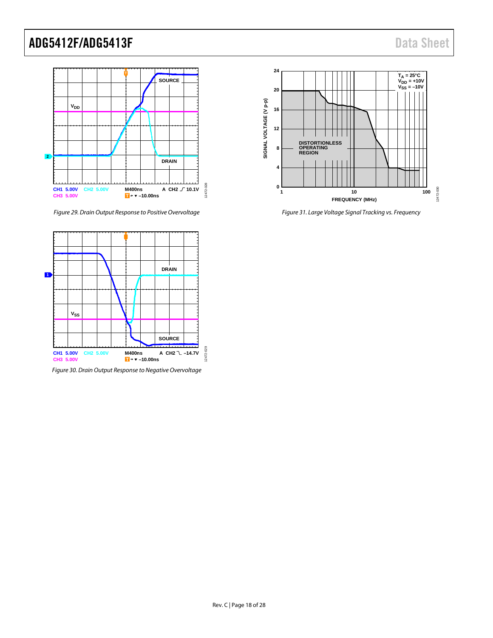

*Figure 29. Drain Output Response to Positive Overvoltage*

<span id="page-17-0"></span>

*Figure 30. Drain Output Response to Negative Overvoltage* 



<span id="page-17-1"></span>*Figure 31. Large Voltage Signal Tracking vs. Frequency*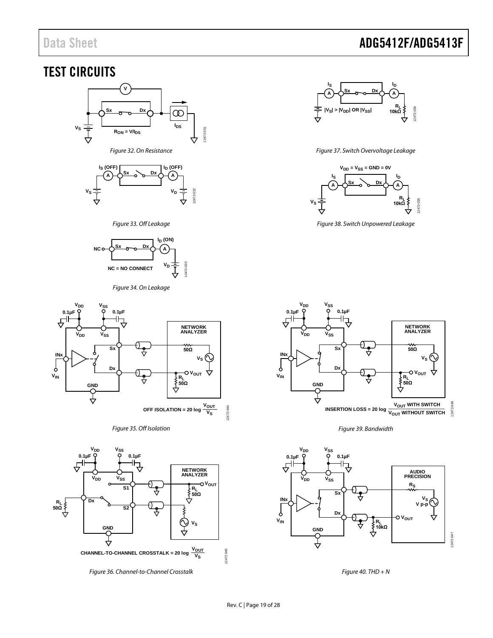# Data Sheet **ADG5412F/ADG5413F**

### <span id="page-18-0"></span>TEST CIRCUITS



<span id="page-18-1"></span>

#### *Figure 33. Off Leakage*

<span id="page-18-2"></span>

#### *Figure 34. On Leakage*

<span id="page-18-3"></span>

#### *Figure 35. Off Isolation*

<span id="page-18-6"></span>

<span id="page-18-7"></span>*Figure 36. Channel-to-Channel Crosstalk*



#### *Figure 37. Switch Overvoltage Leakage*

<span id="page-18-4"></span>

<span id="page-18-5"></span>*Figure 38. Switch Unpowered Leakage*



*Figure 39. Bandwidth*

<span id="page-18-9"></span>

<span id="page-18-8"></span>*Figure 40. THD + N*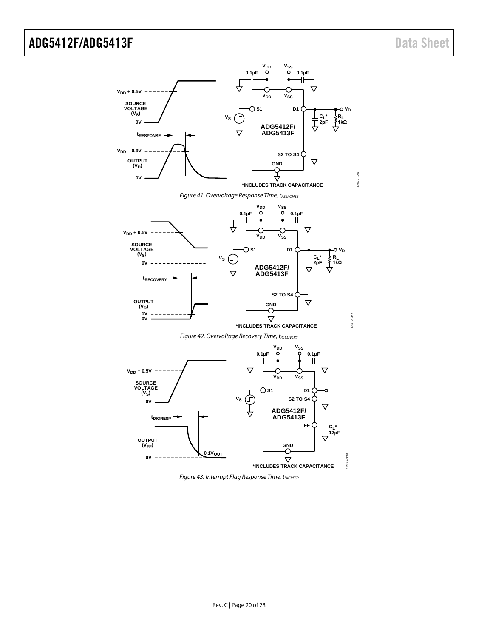<span id="page-19-0"></span>

<span id="page-19-2"></span><span id="page-19-1"></span>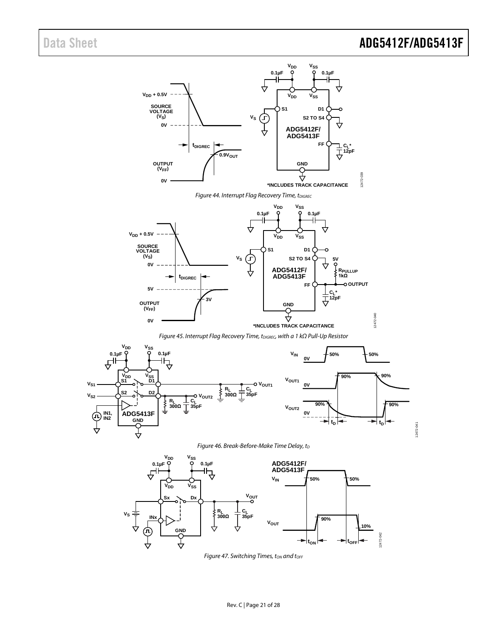12472-040

12472-040



<span id="page-20-2"></span>

*Figure 45. Interrupt Flag Recovery Time, tDIGREC, with a 1 kΩ Pull-Up Resistor* 

<span id="page-20-3"></span>

*Figure 46. Break-Before-Make Time Delay, t<sub>D</sub>* 

<span id="page-20-1"></span><span id="page-20-0"></span>

**Figure 47. Switching Times, ton and toFF**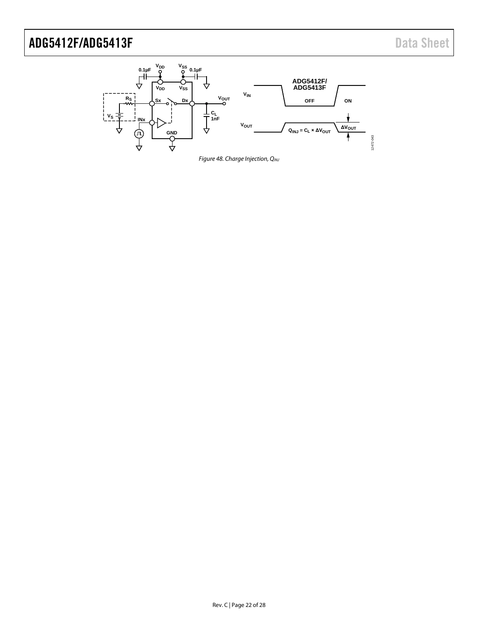<span id="page-21-0"></span>

*Figure 48. Charge Injection, QINJ*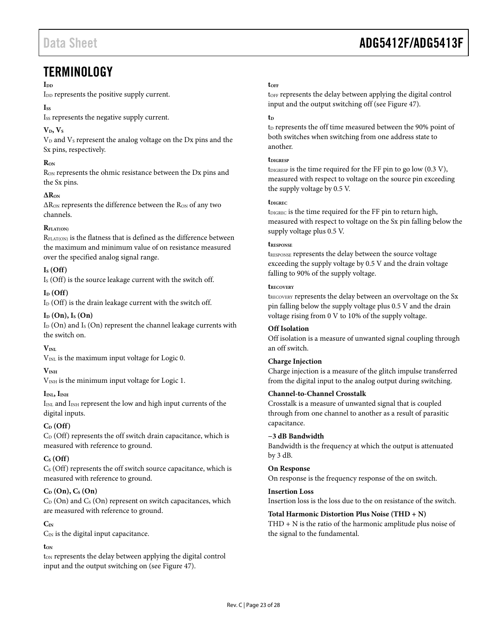### <span id="page-22-0"></span>**TERMINOLOGY**

#### I<sub>DD</sub>

I<sub>DD</sub> represents the positive supply current.

#### I<sub>SS</sub>

Iss represents the negative supply current.

#### $V_D$ ,  $V_S$

 $V<sub>D</sub>$  and  $V<sub>S</sub>$  represent the analog voltage on the Dx pins and the Sx pins, respectively.

#### **RON**

R<sub>ON</sub> represents the ohmic resistance between the Dx pins and the Sx pins.

#### $\Delta R_{ON}$

 $\Delta R_{ON}$  represents the difference between the  $R_{ON}$  of any two channels.

#### **RFLAT(ON)**

RFLAT(ON) is the flatness that is defined as the difference between the maximum and minimum value of on resistance measured over the specified analog signal range.

#### $I<sub>S</sub>$  (Off)

I<sub>S</sub> (Off) is the source leakage current with the switch off.

#### $I_D$  (Off)

 $I_D$  (Off) is the drain leakage current with the switch off.

#### $I_D$  (On),  $I_S$  (On)

 $I_D$  (On) and  $I_S$  (On) represent the channel leakage currents with the switch on.

#### $V_{\text{INI}}$

V<sub>INL</sub> is the maximum input voltage for Logic 0.

#### **VINH**

V<sub>INH</sub> is the minimum input voltage for Logic 1.

#### $I_{\text{IML}}$ ,  $I_{\text{INH}}$

IINL and IINH represent the low and high input currents of the digital inputs.

#### **CD (Off)**

 $C_D$  (Off) represents the off switch drain capacitance, which is measured with reference to ground.

#### **CS (Off)**

 $C<sub>s</sub>$  (Off) represents the off switch source capacitance, which is measured with reference to ground.

#### $C_D$  **(On)**,  $C_S$  **(On)**

 $C_D$  (On) and  $C_S$  (On) represent on switch capacitances, which are measured with reference to ground.

#### $C_{\text{IN}}$

 $C_{IN}$  is the digital input capacitance.

#### **tON**

ton represents the delay between applying the digital control input and the output switching on (see [Figure 47\)](#page-20-0).

## Data Sheet **ADG5412F/ADG5413F**

#### **tOFF**

toFF represents the delay between applying the digital control input and the output switching off (se[e Figure 47\)](#page-20-0).

#### **tD**

 $t_D$  represents the off time measured between the 90% point of both switches when switching from one address state to another.

#### **tDIGRESP**

 $t_{DIGRESP}$  is the time required for the FF pin to go low (0.3 V), measured with respect to voltage on the source pin exceeding the supply voltage by 0.5 V.

#### **tDIGREC**

t<sub>DIGREC</sub> is the time required for the FF pin to return high, measured with respect to voltage on the Sx pin falling below the supply voltage plus 0.5 V.

#### **tRESPONSE**

tRESPONSE represents the delay between the source voltage exceeding the supply voltage by 0.5 V and the drain voltage falling to 90% of the supply voltage.

#### **tRECOVERY**

t<sub>RECOVERY</sub> represents the delay between an overvoltage on the Sx pin falling below the supply voltage plus 0.5 V and the drain voltage rising from 0 V to 10% of the supply voltage.

#### **Off Isolation**

Off isolation is a measure of unwanted signal coupling through an off switch.

#### **Charge Injection**

Charge injection is a measure of the glitch impulse transferred from the digital input to the analog output during switching.

#### **Channel-to-Channel Crosstalk**

Crosstalk is a measure of unwanted signal that is coupled through from one channel to another as a result of parasitic capacitance.

#### **−3 dB Bandwidth**

Bandwidth is the frequency at which the output is attenuated by 3 dB.

#### **On Response**

On response is the frequency response of the on switch.

#### **Insertion Loss**

Insertion loss is the loss due to the on resistance of the switch.

#### **Total Harmonic Distortion Plus Noise (THD + N)**

THD + N is the ratio of the harmonic amplitude plus noise of the signal to the fundamental.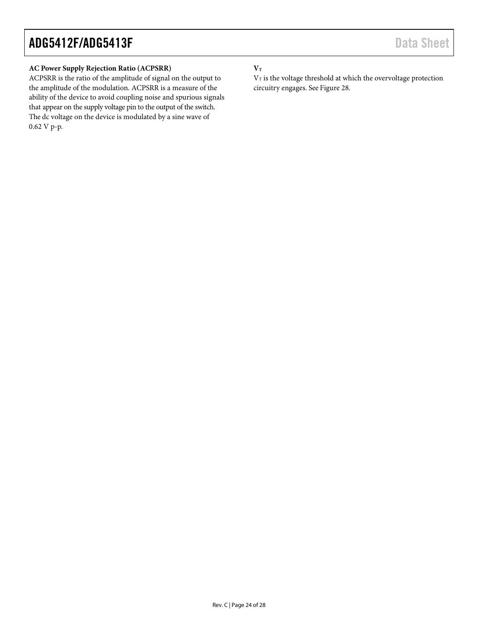#### **AC Power Supply Rejection Ratio (ACPSRR)**

ACPSRR is the ratio of the amplitude of signal on the output to the amplitude of the modulation. ACPSRR is a measure of the ability of the device to avoid coupling noise and spurious signals that appear on the supply voltage pin to the output of the switch. The dc voltage on the device is modulated by a sine wave of 0.62 V p-p.

#### $\mathbf{V}_\text{T}$

 $V_T$  is the voltage threshold at which the overvoltage protection circuitry engages. Se[e Figure 28.](#page-16-0)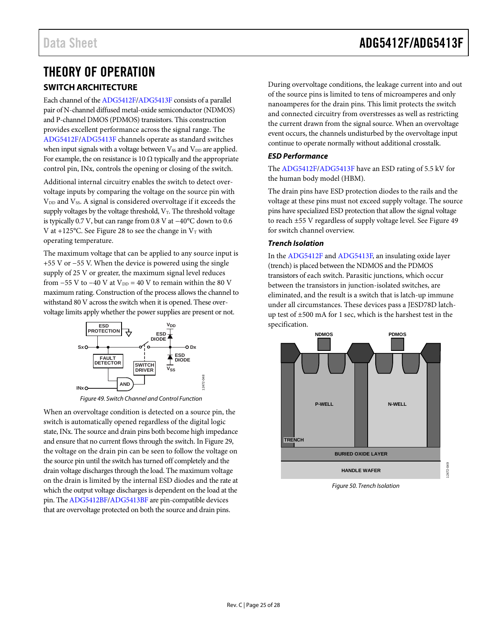# <span id="page-24-0"></span>THEORY OF OPERATION

#### <span id="page-24-1"></span>**SWITCH ARCHITECTURE**

Each channel of the [ADG5412F/](http://www.analog.com/ADG5412F?doc=ADG5412F_5413F.pdf)[ADG5413F](http://www.analog.com/ADG5413F?doc=ADG5412F_5413F.pdf) consists of a parallel pair of N-channel diffused metal-oxide semiconductor (NDMOS) and P-channel DMOS (PDMOS) transistors. This construction provides excellent performance across the signal range. The [ADG5412F/](http://www.analog.com/ADG5412F?doc=ADG5412F_5413F.pdf)[ADG5413F](http://www.analog.com/ADG5413F?doc=ADG5412F_5413F.pdf) channels operate as standard switches when input signals with a voltage between  $V_{SS}$  and  $V_{DD}$  are applied. For example, the on resistance is 10  $\Omega$  typically and the appropriate control pin, INx, controls the opening or closing of the switch.

Additional internal circuitry enables the switch to detect overvoltage inputs by comparing the voltage on the source pin with V<sub>DD</sub> and V<sub>SS</sub>. A signal is considered overvoltage if it exceeds the supply voltages by the voltage threshold,  $V_T$ . The threshold voltage is typically 0.7 V, but can range from 0.8 V at −40°C down to 0.6 V at +125°C. See [Figure 28](#page-16-0) to see the change in  $V_T$  with operating temperature.

The maximum voltage that can be applied to any source input is +55 V or −55 V. When the device is powered using the single supply of 25 V or greater, the maximum signal level reduces from  $-55$  V to  $-40$  V at  $V_{DD} = 40$  V to remain within the 80 V maximum rating. Construction of the process allows the channel to withstand 80 V across the switch when it is opened. These overvoltage limits apply whether the power supplies are present or not.



*Figure 49. Switch Channel and Control Function*

12472-048

<span id="page-24-2"></span>When an overvoltage condition is detected on a source pin, the switch is automatically opened regardless of the digital logic state, INx. The source and drain pins both become high impedance and ensure that no current flows through the switch. I[n Figure 29,](#page-17-0) the voltage on the drain pin can be seen to follow the voltage on the source pin until the switch has turned off completely and the drain voltage discharges through the load. The maximum voltage on the drain is limited by the internal ESD diodes and the rate at which the output voltage discharges is dependent on the load at the pin. Th[e ADG5412BF](http://www.analog.com/ADG5412BF?doc=ADG5412F_5413F.pdf)[/ADG5413BF](http://www.analog.com/ADG5413BF?doc=ADG5412F_5413F.pdf) are pin-compatible devices that are overvoltage protected on both the source and drain pins.

During overvoltage conditions, the leakage current into and out of the source pins is limited to tens of microamperes and only nanoamperes for the drain pins. This limit protects the switch and connected circuitry from overstresses as well as restricting the current drawn from the signal source. When an overvoltage event occurs, the channels undisturbed by the overvoltage input continue to operate normally without additional crosstalk.

#### *ESD Performance*

The [ADG5412F/](http://www.analog.com/ADG5412F?doc=ADG5412F_5413F.pdf)[ADG5413F](http://www.analog.com/ADG5413F?doc=ADG5412F_5413F.pdf) have an ESD rating of 5.5 kV for the human body model (HBM).

The drain pins have ESD protection diodes to the rails and the voltage at these pins must not exceed supply voltage. The source pins have specialized ESD protection that allow the signal voltage to reach ±55 V regardless of supply voltage level. Se[e Figure 49](#page-24-2) for switch channel overview.

#### *Trench Isolation*

In th[e ADG5412F](http://www.analog.com/ADG5412F?doc=ADG5412F_5413F.pdf) and [ADG5413F,](http://www.analog.com/ADG5413F?doc=ADG5412F_5413F.pdf) an insulating oxide layer (trench) is placed between the NDMOS and the PDMOS transistors of each switch. Parasitic junctions, which occur between the transistors in junction-isolated switches, are eliminated, and the result is a switch that is latch-up immune under all circumstances. These devices pass a JESD78D latchup test of ±500 mA for 1 sec, which is the harshest test in the specification.



*Figure 50. Trench Isolation*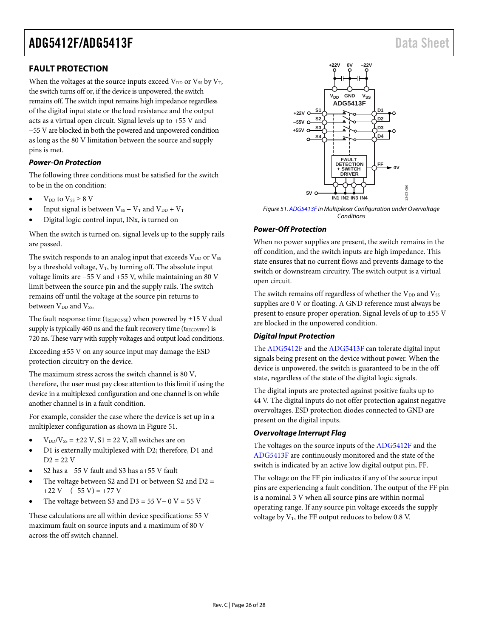#### <span id="page-25-0"></span>**FAULT PROTECTION**

When the voltages at the source inputs exceed  $V_{DD}$  or  $V_{SS}$  by  $V_T$ , the switch turns off or, if the device is unpowered, the switch remains off. The switch input remains high impedance regardless of the digital input state or the load resistance and the output acts as a virtual open circuit. Signal levels up to +55 V and −55 V are blocked in both the powered and unpowered condition as long as the 80 V limitation between the source and supply pins is met.

#### *Power-On Protection*

The following three conditions must be satisfied for the switch to be in the on condition:

- $V_{DD}$  to  $V_{SS} \geq 8$  V
- Input signal is between  $V_{SS} V_T$  and  $V_{DD} + V_T$
- Digital logic control input, INx, is turned on

When the switch is turned on, signal levels up to the supply rails are passed.

The switch responds to an analog input that exceeds  $V_{DD}$  or  $V_{SS}$ by a threshold voltage,  $V_T$ , by turning off. The absolute input voltage limits are −55 V and +55 V, while maintaining an 80 V limit between the source pin and the supply rails. The switch remains off until the voltage at the source pin returns to between V<sub>DD</sub> and Vss.

The fault response time ( $t_{\text{RESPONSE}}$ ) when powered by  $\pm 15$  V dual supply is typically 460 ns and the fault recovery time ( $t_{RECOVERY}$ ) is 720 ns. These vary with supply voltages and output load conditions.

Exceeding ±55 V on any source input may damage the ESD protection circuitry on the device.

The maximum stress across the switch channel is 80 V, therefore, the user must pay close attention to this limit if using the device in a multiplexed configuration and one channel is on while another channel is in a fault condition.

For example, consider the case where the device is set up in a multiplexer configuration as shown in [Figure 51.](#page-25-1)

- $V_{DD}/V_{SS} = \pm 22$  V, S1 = 22 V, all switches are on
- D1 is externally multiplexed with D2; therefore, D1 and  $D2 = 22$  V
- S2 has a −55 V fault and S3 has a+55 V fault
- The voltage between S2 and D1 or between S2 and D2  $=$  $+22$  V – (-55 V) = +77 V
- The voltage between S3 and D3 = 55 V − 0 V = 55 V

These calculations are all within device specifications: 55 V maximum fault on source inputs and a maximum of 80 V across the off switch channel.



<span id="page-25-1"></span>*Figure 51. [ADG5413F](http://www.analog.com/ADG5413F?doc=ADG5412F_5413F.pdf) in Multiplexer Configuration under Overvoltage Conditions*

#### *Power-Off Protection*

When no power supplies are present, the switch remains in the off condition, and the switch inputs are high impedance. This state ensures that no current flows and prevents damage to the switch or downstream circuitry. The switch output is a virtual open circuit.

The switch remains off regardless of whether the  $V_{DD}$  and  $V_{SS}$ supplies are 0 V or floating. A GND reference must always be present to ensure proper operation. Signal levels of up to ±55 V are blocked in the unpowered condition.

#### *Digital Input Protection*

The [ADG5412F](http://www.analog.com/ADG5412F?doc=ADG5412F_5413F.pdf) and th[e ADG5413F](http://www.analog.com/ADG5413F?doc=ADG5412F_5413F.pdf) can tolerate digital input signals being present on the device without power. When the device is unpowered, the switch is guaranteed to be in the off state, regardless of the state of the digital logic signals.

The digital inputs are protected against positive faults up to 44 V. The digital inputs do not offer protection against negative overvoltages. ESD protection diodes connected to GND are present on the digital inputs.

#### *Overvoltage Interrupt Flag*

The voltages on the source inputs of th[e ADG5412F](http://www.analog.com/ADG5412F?doc=ADG5412F_5413F.pdf) and the [ADG5413F](http://www.analog.com/ADG5413F?doc=ADG5412F_5413F.pdf) are continuously monitored and the state of the switch is indicated by an active low digital output pin, FF.

The voltage on the FF pin indicates if any of the source input pins are experiencing a fault condition. The output of the FF pin is a nominal 3 V when all source pins are within normal operating range. If any source pin voltage exceeds the supply voltage by  $V_T$ , the FF output reduces to below 0.8 V.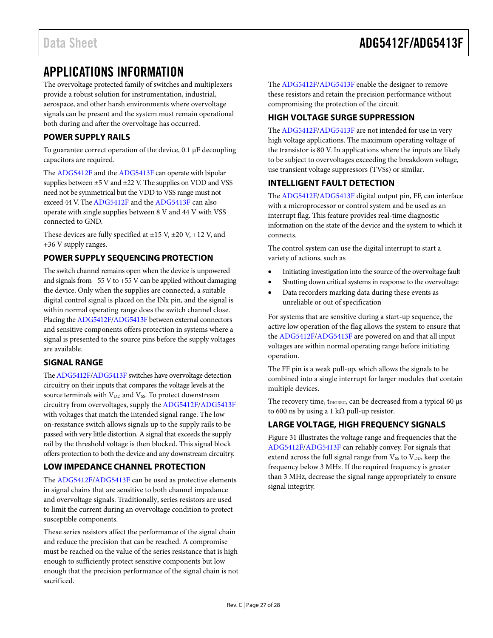## <span id="page-26-0"></span>APPLICATIONS INFORMATION

The overvoltage protected family of switches and multiplexers provide a robust solution for instrumentation, industrial, aerospace, and other harsh environments where overvoltage signals can be present and the system must remain operational both during and after the overvoltage has occurred.

#### <span id="page-26-1"></span>**POWER SUPPLY RAILS**

To guarantee correct operation of the device, 0.1 µF decoupling capacitors are required.

The [ADG5412F](http://www.analog.com/ADG5412F?doc=ADG5412F_5413F.pdf) and th[e ADG5413F](http://www.analog.com/ADG5413F?doc=ADG5412F_5413F.pdf) can operate with bipolar supplies between ±5 V and ±22 V. The supplies on VDD and VSS need not be symmetrical but the VDD to VSS range must not exceed 44 V. Th[e ADG5412F](http://www.analog.com/ADG5412F?doc=ADG5412F_5413F.pdf) and the [ADG5413F](http://www.analog.com/ADG5413F?doc=ADG5412F_5413F.pdf) can also operate with single supplies between 8 V and 44 V with VSS connected to GND.

These devices are fully specified at  $\pm 15$  V,  $\pm 20$  V,  $+12$  V, and +36 V supply ranges.

#### <span id="page-26-2"></span>**POWER SUPPLY SEQUENCING PROTECTION**

The switch channel remains open when the device is unpowered and signals from −55 V to +55 V can be applied without damaging the device. Only when the supplies are connected, a suitable digital control signal is placed on the INx pin, and the signal is within normal operating range does the switch channel close. Placing th[e ADG5412F](http://www.analog.com/ADG5412F?doc=ADG5412F_5413F.pdf)[/ADG5413F](http://www.analog.com/ADG5413F?doc=ADG5412F_5413F.pdf) between external connectors and sensitive components offers protection in systems where a signal is presented to the source pins before the supply voltages are available.

#### <span id="page-26-3"></span>**SIGNAL RANGE**

Th[e ADG5412F](http://www.analog.com/ADG5412F?doc=ADG5412F_5413F.pdf)[/ADG5413F](http://www.analog.com/ADG5413F?doc=ADG5412F_5413F.pdf) switches have overvoltage detection circuitry on their inputs that compares the voltage levels at the source terminals with  $V_{DD}$  and  $V_{SS}$ . To protect downstream circuitry from overvoltages, supply th[e ADG5412F](http://www.analog.com/ADG5412F?doc=ADG5412F_5413F.pdf)[/ADG5413F](http://www.analog.com/ADG5413F?doc=ADG5412F_5413F.pdf) with voltages that match the intended signal range. The low on-resistance switch allows signals up to the supply rails to be passed with very little distortion. A signal that exceeds the supply rail by the threshold voltage is then blocked. This signal block offers protection to both the device and any downstream circuitry.

#### <span id="page-26-4"></span>**LOW IMPEDANCE CHANNEL PROTECTION**

The [ADG5412F/](http://www.analog.com/ADG5412F?doc=ADG5412F_5413F.pdf)[ADG5413F](http://www.analog.com/ADG5413F?doc=ADG5412F_5413F.pdf) can be used as protective elements in signal chains that are sensitive to both channel impedance and overvoltage signals. Traditionally, series resistors are used to limit the current during an overvoltage condition to protect susceptible components.

These series resistors affect the performance of the signal chain and reduce the precision that can be reached. A compromise must be reached on the value of the series resistance that is high enough to sufficiently protect sensitive components but low enough that the precision performance of the signal chain is not sacrificed.

The [ADG5412F/](http://www.analog.com/ADG5412F?doc=ADG5412F_5413F.pdf)[ADG5413F](http://www.analog.com/ADG5413F?doc=ADG5412F_5413F.pdf) enable the designer to remove these resistors and retain the precision performance without compromising the protection of the circuit.

#### <span id="page-26-5"></span>**HIGH VOLTAGE SURGE SUPPRESSION**

The [ADG5412F/](http://www.analog.com/ADG5412F?doc=ADG5412F_5413F.pdf)[ADG5413F](http://www.analog.com/ADG5413F?doc=ADG5412F_5413F.pdf) are not intended for use in very high voltage applications. The maximum operating voltage of the transistor is 80 V. In applications where the inputs are likely to be subject to overvoltages exceeding the breakdown voltage, use transient voltage suppressors (TVSs) or similar.

#### <span id="page-26-6"></span>**INTELLIGENT FAULT DETECTION**

The [ADG5412F/](http://www.analog.com/ADG5412F?doc=ADG5412F_5413F.pdf)[ADG5413F](http://www.analog.com/ADG5413F?doc=ADG5412F_5413F.pdf) digital output pin, FF, can interface with a microprocessor or control system and be used as an interrupt flag. This feature provides real-time diagnostic information on the state of the device and the system to which it connects.

The control system can use the digital interrupt to start a variety of actions, such as

- Initiating investigation into the source of the overvoltage fault
- Shutting down critical systems in response to the overvoltage
- Data recorders marking data during these events as unreliable or out of specification

For systems that are sensitive during a start-up sequence, the active low operation of the flag allows the system to ensure that the [ADG5412F/](http://www.analog.com/ADG5412F?doc=ADG5412F_5413F.pdf)[ADG5413F](http://www.analog.com/ADG5413F?doc=ADG5412F_5413F.pdf) are powered on and that all input voltages are within normal operating range before initiating operation.

The FF pin is a weak pull-up, which allows the signals to be combined into a single interrupt for larger modules that contain multiple devices.

The recovery time, t<sub>DIGREC</sub>, can be decreased from a typical 60  $\mu$ s to 600 ns by using a 1 kΩ pull-up resistor.

#### <span id="page-26-7"></span>**LARGE VOLTAGE, HIGH FREQUENCY SIGNALS**

[Figure 31](#page-17-1) illustrates the voltage range and frequencies that the [ADG5412F/](http://www.analog.com/ADG5412F?doc=ADG5412F_5413F.pdf)[ADG5413F](http://www.analog.com/ADG5413F?doc=ADG5412F_5413F.pdf) can reliably convey. For signals that extend across the full signal range from  $V_{SS}$  to  $V_{DD}$ , keep the frequency below 3 MHz. If the required frequency is greater than 3 MHz, decrease the signal range appropriately to ensure signal integrity.